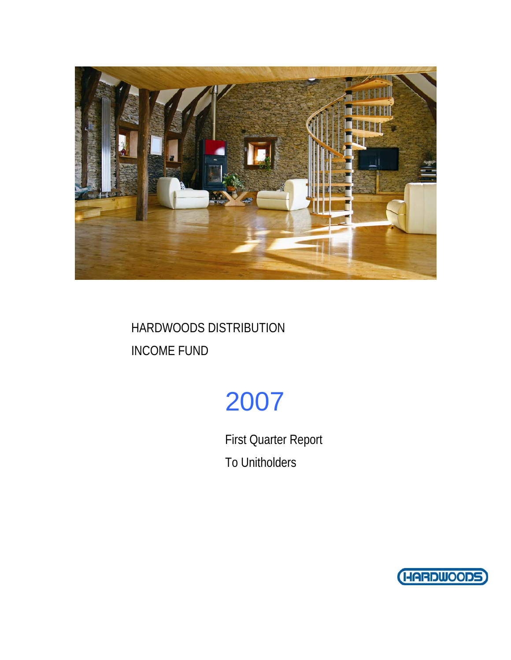

# 2007

First Quarter Report To Unitholders

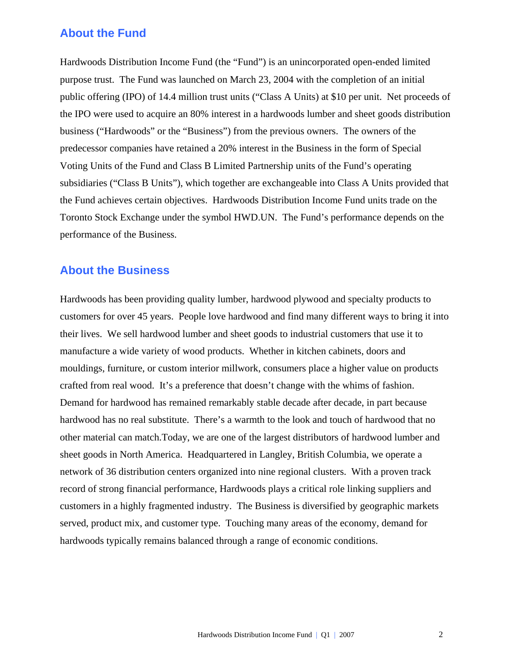### **About the Fund**

Hardwoods Distribution Income Fund (the "Fund") is an unincorporated open-ended limited purpose trust. The Fund was launched on March 23, 2004 with the completion of an initial public offering (IPO) of 14.4 million trust units ("Class A Units) at \$10 per unit. Net proceeds of the IPO were used to acquire an 80% interest in a hardwoods lumber and sheet goods distribution business ("Hardwoods" or the "Business") from the previous owners. The owners of the predecessor companies have retained a 20% interest in the Business in the form of Special Voting Units of the Fund and Class B Limited Partnership units of the Fund's operating subsidiaries ("Class B Units"), which together are exchangeable into Class A Units provided that the Fund achieves certain objectives. Hardwoods Distribution Income Fund units trade on the Toronto Stock Exchange under the symbol HWD.UN. The Fund's performance depends on the performance of the Business.

### **About the Business**

Hardwoods has been providing quality lumber, hardwood plywood and specialty products to customers for over 45 years. People love hardwood and find many different ways to bring it into their lives. We sell hardwood lumber and sheet goods to industrial customers that use it to manufacture a wide variety of wood products. Whether in kitchen cabinets, doors and mouldings, furniture, or custom interior millwork, consumers place a higher value on products crafted from real wood. It's a preference that doesn't change with the whims of fashion. Demand for hardwood has remained remarkably stable decade after decade, in part because hardwood has no real substitute. There's a warmth to the look and touch of hardwood that no other material can match.Today, we are one of the largest distributors of hardwood lumber and sheet goods in North America. Headquartered in Langley, British Columbia, we operate a network of 36 distribution centers organized into nine regional clusters. With a proven track record of strong financial performance, Hardwoods plays a critical role linking suppliers and customers in a highly fragmented industry. The Business is diversified by geographic markets served, product mix, and customer type. Touching many areas of the economy, demand for hardwoods typically remains balanced through a range of economic conditions.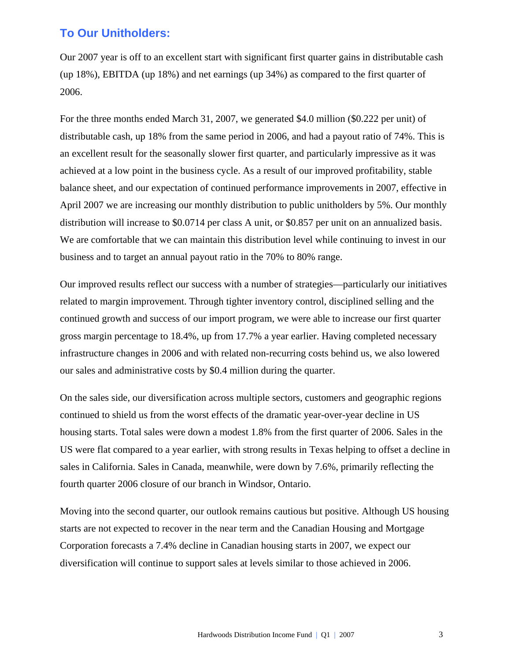## **To Our Unitholders:**

Our 2007 year is off to an excellent start with significant first quarter gains in distributable cash (up 18%), EBITDA (up 18%) and net earnings (up 34%) as compared to the first quarter of 2006.

For the three months ended March 31, 2007, we generated \$4.0 million (\$0.222 per unit) of distributable cash, up 18% from the same period in 2006, and had a payout ratio of 74%. This is an excellent result for the seasonally slower first quarter, and particularly impressive as it was achieved at a low point in the business cycle. As a result of our improved profitability, stable balance sheet, and our expectation of continued performance improvements in 2007, effective in April 2007 we are increasing our monthly distribution to public unitholders by 5%. Our monthly distribution will increase to \$0.0714 per class A unit, or \$0.857 per unit on an annualized basis. We are comfortable that we can maintain this distribution level while continuing to invest in our business and to target an annual payout ratio in the 70% to 80% range.

Our improved results reflect our success with a number of strategies—particularly our initiatives related to margin improvement. Through tighter inventory control, disciplined selling and the continued growth and success of our import program, we were able to increase our first quarter gross margin percentage to 18.4%, up from 17.7% a year earlier. Having completed necessary infrastructure changes in 2006 and with related non-recurring costs behind us, we also lowered our sales and administrative costs by \$0.4 million during the quarter.

On the sales side, our diversification across multiple sectors, customers and geographic regions continued to shield us from the worst effects of the dramatic year-over-year decline in US housing starts. Total sales were down a modest 1.8% from the first quarter of 2006. Sales in the US were flat compared to a year earlier, with strong results in Texas helping to offset a decline in sales in California. Sales in Canada, meanwhile, were down by 7.6%, primarily reflecting the fourth quarter 2006 closure of our branch in Windsor, Ontario.

Moving into the second quarter, our outlook remains cautious but positive. Although US housing starts are not expected to recover in the near term and the Canadian Housing and Mortgage Corporation forecasts a 7.4% decline in Canadian housing starts in 2007, we expect our diversification will continue to support sales at levels similar to those achieved in 2006.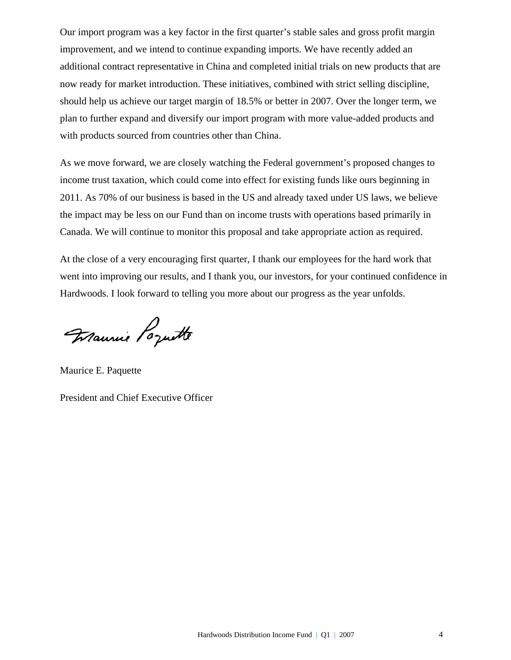Our import program was a key factor in the first quarter's stable sales and gross profit margin improvement, and we intend to continue expanding imports. We have recently added an additional contract representative in China and completed initial trials on new products that are now ready for market introduction. These initiatives, combined with strict selling discipline, should help us achieve our target margin of 18.5% or better in 2007. Over the longer term, we plan to further expand and diversify our import program with more value-added products and with products sourced from countries other than China.

As we move forward, we are closely watching the Federal government's proposed changes to income trust taxation, which could come into effect for existing funds like ours beginning in 2011. As 70% of our business is based in the US and already taxed under US laws, we believe the impact may be less on our Fund than on income trusts with operations based primarily in Canada. We will continue to monitor this proposal and take appropriate action as required.

At the close of a very encouraging first quarter, I thank our employees for the hard work that went into improving our results, and I thank you, our investors, for your continued confidence in Hardwoods. I look forward to telling you more about our progress as the year unfolds.

Maurice E. Paquette

President and Chief Executive Officer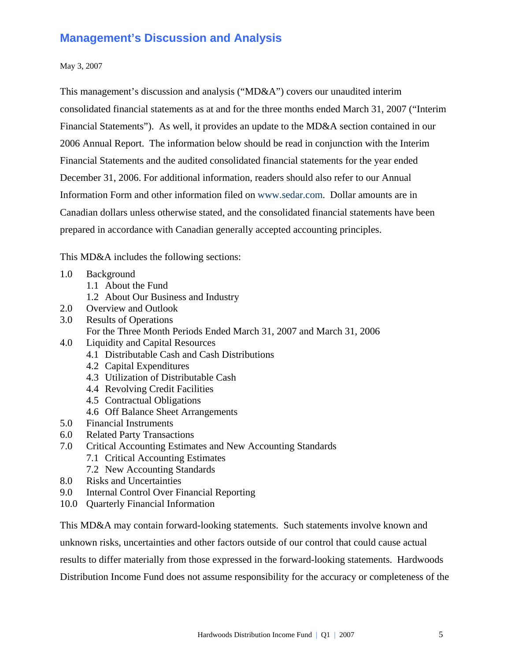## **Management's Discussion and Analysis**

#### May 3, 2007

This management's discussion and analysis ("MD&A") covers our unaudited interim consolidated financial statements as at and for the three months ended March 31, 2007 ("Interim Financial Statements"). As well, it provides an update to the MD&A section contained in our 2006 Annual Report. The information below should be read in conjunction with the Interim Financial Statements and the audited consolidated financial statements for the year ended December 31, 2006. For additional information, readers should also refer to our Annual Information Form and other information filed on www.sedar.com. Dollar amounts are in Canadian dollars unless otherwise stated, and the consolidated financial statements have been prepared in accordance with Canadian generally accepted accounting principles.

This MD&A includes the following sections:

- 1.0 Background
	- 1.1 About the Fund
	- 1.2 About Our Business and Industry
- 2.0 Overview and Outlook
- 3.0 Results of Operations
	- For the Three Month Periods Ended March 31, 2007 and March 31, 2006
- 4.0 Liquidity and Capital Resources
	- 4.1 Distributable Cash and Cash Distributions
	- 4.2 Capital Expenditures
	- 4.3 Utilization of Distributable Cash
	- 4.4 Revolving Credit Facilities
	- 4.5 Contractual Obligations
	- 4.6 Off Balance Sheet Arrangements
- 5.0 Financial Instruments
- 6.0 Related Party Transactions
- 7.0 Critical Accounting Estimates and New Accounting Standards
	- 7.1 Critical Accounting Estimates
	- 7.2 New Accounting Standards
- 8.0 Risks and Uncertainties
- 9.0 Internal Control Over Financial Reporting
- 10.0 Quarterly Financial Information

This MD&A may contain forward-looking statements. Such statements involve known and unknown risks, uncertainties and other factors outside of our control that could cause actual results to differ materially from those expressed in the forward-looking statements. Hardwoods Distribution Income Fund does not assume responsibility for the accuracy or completeness of the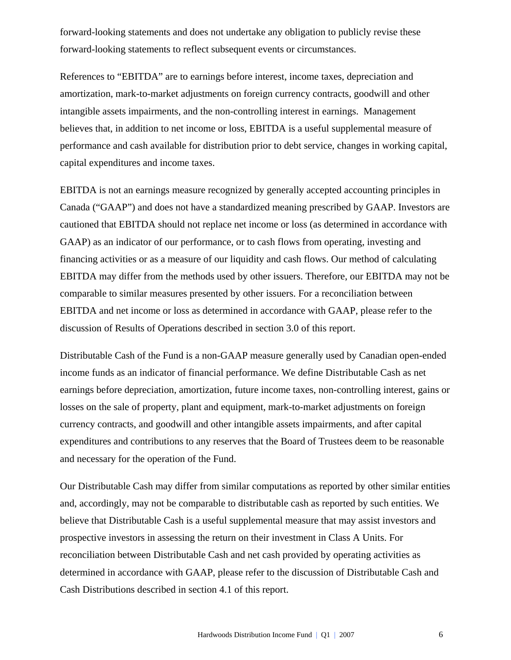forward-looking statements and does not undertake any obligation to publicly revise these forward-looking statements to reflect subsequent events or circumstances.

References to "EBITDA" are to earnings before interest, income taxes, depreciation and amortization, mark-to-market adjustments on foreign currency contracts, goodwill and other intangible assets impairments, and the non-controlling interest in earnings. Management believes that, in addition to net income or loss, EBITDA is a useful supplemental measure of performance and cash available for distribution prior to debt service, changes in working capital, capital expenditures and income taxes.

EBITDA is not an earnings measure recognized by generally accepted accounting principles in Canada ("GAAP") and does not have a standardized meaning prescribed by GAAP. Investors are cautioned that EBITDA should not replace net income or loss (as determined in accordance with GAAP) as an indicator of our performance, or to cash flows from operating, investing and financing activities or as a measure of our liquidity and cash flows. Our method of calculating EBITDA may differ from the methods used by other issuers. Therefore, our EBITDA may not be comparable to similar measures presented by other issuers. For a reconciliation between EBITDA and net income or loss as determined in accordance with GAAP, please refer to the discussion of Results of Operations described in section 3.0 of this report.

Distributable Cash of the Fund is a non-GAAP measure generally used by Canadian open-ended income funds as an indicator of financial performance. We define Distributable Cash as net earnings before depreciation, amortization, future income taxes, non-controlling interest, gains or losses on the sale of property, plant and equipment, mark-to-market adjustments on foreign currency contracts, and goodwill and other intangible assets impairments, and after capital expenditures and contributions to any reserves that the Board of Trustees deem to be reasonable and necessary for the operation of the Fund.

Our Distributable Cash may differ from similar computations as reported by other similar entities and, accordingly, may not be comparable to distributable cash as reported by such entities. We believe that Distributable Cash is a useful supplemental measure that may assist investors and prospective investors in assessing the return on their investment in Class A Units. For reconciliation between Distributable Cash and net cash provided by operating activities as determined in accordance with GAAP, please refer to the discussion of Distributable Cash and Cash Distributions described in section 4.1 of this report.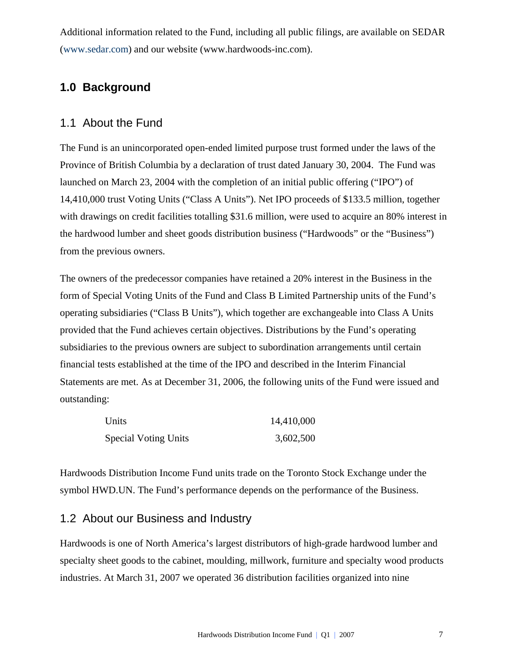Additional information related to the Fund, including all public filings, are available on SEDAR (www.sedar.com) and our website (www.hardwoods-inc.com).

## **1.0 Background**

### 1.1 About the Fund

The Fund is an unincorporated open-ended limited purpose trust formed under the laws of the Province of British Columbia by a declaration of trust dated January 30, 2004. The Fund was launched on March 23, 2004 with the completion of an initial public offering ("IPO") of 14,410,000 trust Voting Units ("Class A Units"). Net IPO proceeds of \$133.5 million, together with drawings on credit facilities totalling \$31.6 million, were used to acquire an 80% interest in the hardwood lumber and sheet goods distribution business ("Hardwoods" or the "Business") from the previous owners.

The owners of the predecessor companies have retained a 20% interest in the Business in the form of Special Voting Units of the Fund and Class B Limited Partnership units of the Fund's operating subsidiaries ("Class B Units"), which together are exchangeable into Class A Units provided that the Fund achieves certain objectives. Distributions by the Fund's operating subsidiaries to the previous owners are subject to subordination arrangements until certain financial tests established at the time of the IPO and described in the Interim Financial Statements are met. As at December 31, 2006, the following units of the Fund were issued and outstanding:

| Units                       | 14,410,000 |
|-----------------------------|------------|
| <b>Special Voting Units</b> | 3,602,500  |

Hardwoods Distribution Income Fund units trade on the Toronto Stock Exchange under the symbol HWD.UN. The Fund's performance depends on the performance of the Business.

### 1.2 About our Business and Industry

Hardwoods is one of North America's largest distributors of high-grade hardwood lumber and specialty sheet goods to the cabinet, moulding, millwork, furniture and specialty wood products industries. At March 31, 2007 we operated 36 distribution facilities organized into nine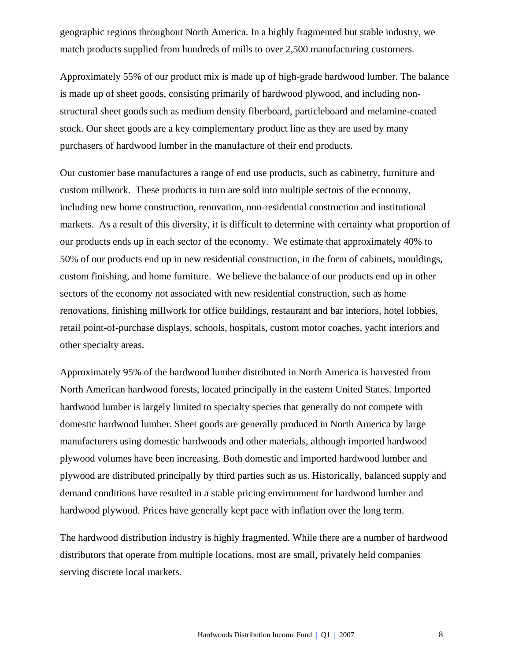geographic regions throughout North America. In a highly fragmented but stable industry, we match products supplied from hundreds of mills to over 2,500 manufacturing customers.

Approximately 55% of our product mix is made up of high-grade hardwood lumber. The balance is made up of sheet goods, consisting primarily of hardwood plywood, and including nonstructural sheet goods such as medium density fiberboard, particleboard and melamine-coated stock. Our sheet goods are a key complementary product line as they are used by many purchasers of hardwood lumber in the manufacture of their end products.

Our customer base manufactures a range of end use products, such as cabinetry, furniture and custom millwork. These products in turn are sold into multiple sectors of the economy, including new home construction, renovation, non-residential construction and institutional markets. As a result of this diversity, it is difficult to determine with certainty what proportion of our products ends up in each sector of the economy. We estimate that approximately 40% to 50% of our products end up in new residential construction, in the form of cabinets, mouldings, custom finishing, and home furniture. We believe the balance of our products end up in other sectors of the economy not associated with new residential construction, such as home renovations, finishing millwork for office buildings, restaurant and bar interiors, hotel lobbies, retail point-of-purchase displays, schools, hospitals, custom motor coaches, yacht interiors and other specialty areas.

Approximately 95% of the hardwood lumber distributed in North America is harvested from North American hardwood forests, located principally in the eastern United States. Imported hardwood lumber is largely limited to specialty species that generally do not compete with domestic hardwood lumber. Sheet goods are generally produced in North America by large manufacturers using domestic hardwoods and other materials, although imported hardwood plywood volumes have been increasing. Both domestic and imported hardwood lumber and plywood are distributed principally by third parties such as us. Historically, balanced supply and demand conditions have resulted in a stable pricing environment for hardwood lumber and hardwood plywood. Prices have generally kept pace with inflation over the long term.

The hardwood distribution industry is highly fragmented. While there are a number of hardwood distributors that operate from multiple locations, most are small, privately held companies serving discrete local markets.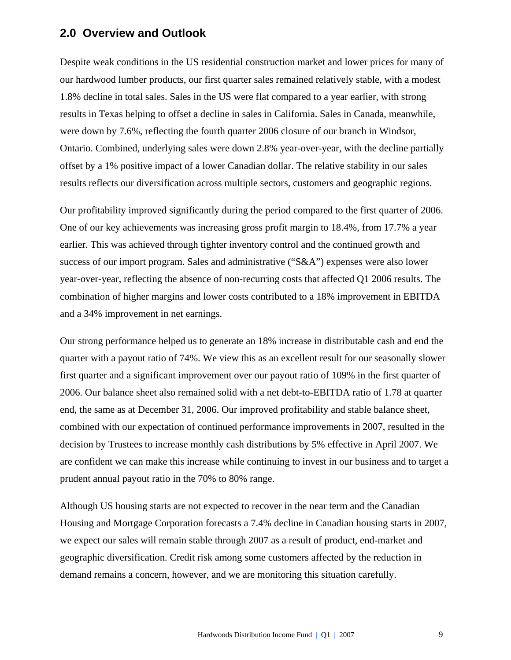### **2.0 Overview and Outlook**

Despite weak conditions in the US residential construction market and lower prices for many of our hardwood lumber products, our first quarter sales remained relatively stable, with a modest 1.8% decline in total sales. Sales in the US were flat compared to a year earlier, with strong results in Texas helping to offset a decline in sales in California. Sales in Canada, meanwhile, were down by 7.6%, reflecting the fourth quarter 2006 closure of our branch in Windsor, Ontario. Combined, underlying sales were down 2.8% year-over-year, with the decline partially offset by a 1% positive impact of a lower Canadian dollar. The relative stability in our sales results reflects our diversification across multiple sectors, customers and geographic regions.

Our profitability improved significantly during the period compared to the first quarter of 2006. One of our key achievements was increasing gross profit margin to 18.4%, from 17.7% a year earlier. This was achieved through tighter inventory control and the continued growth and success of our import program. Sales and administrative ("S&A") expenses were also lower year-over-year, reflecting the absence of non-recurring costs that affected Q1 2006 results. The combination of higher margins and lower costs contributed to a 18% improvement in EBITDA and a 34% improvement in net earnings.

Our strong performance helped us to generate an 18% increase in distributable cash and end the quarter with a payout ratio of 74%. We view this as an excellent result for our seasonally slower first quarter and a significant improvement over our payout ratio of 109% in the first quarter of 2006. Our balance sheet also remained solid with a net debt-to-EBITDA ratio of 1.78 at quarter end, the same as at December 31, 2006. Our improved profitability and stable balance sheet, combined with our expectation of continued performance improvements in 2007, resulted in the decision by Trustees to increase monthly cash distributions by 5% effective in April 2007. We are confident we can make this increase while continuing to invest in our business and to target a prudent annual payout ratio in the 70% to 80% range.

Although US housing starts are not expected to recover in the near term and the Canadian Housing and Mortgage Corporation forecasts a 7.4% decline in Canadian housing starts in 2007, we expect our sales will remain stable through 2007 as a result of product, end-market and geographic diversification. Credit risk among some customers affected by the reduction in demand remains a concern, however, and we are monitoring this situation carefully.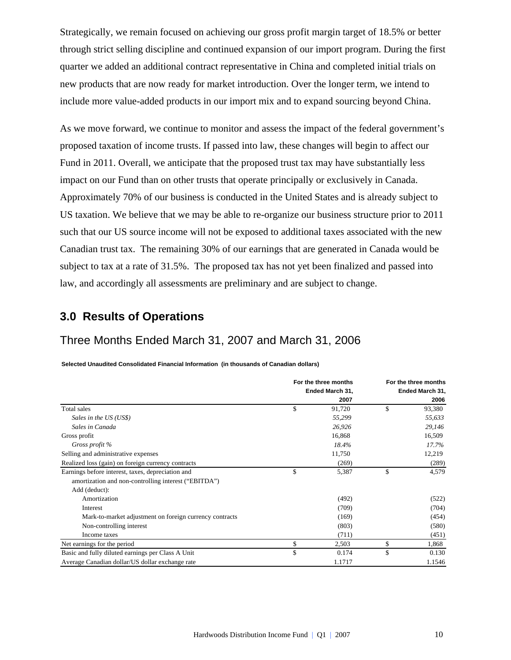Strategically, we remain focused on achieving our gross profit margin target of 18.5% or better through strict selling discipline and continued expansion of our import program. During the first quarter we added an additional contract representative in China and completed initial trials on new products that are now ready for market introduction. Over the longer term, we intend to include more value-added products in our import mix and to expand sourcing beyond China.

As we move forward, we continue to monitor and assess the impact of the federal government's proposed taxation of income trusts. If passed into law, these changes will begin to affect our Fund in 2011. Overall, we anticipate that the proposed trust tax may have substantially less impact on our Fund than on other trusts that operate principally or exclusively in Canada. Approximately 70% of our business is conducted in the United States and is already subject to US taxation. We believe that we may be able to re-organize our business structure prior to 2011 such that our US source income will not be exposed to additional taxes associated with the new Canadian trust tax. The remaining 30% of our earnings that are generated in Canada would be subject to tax at a rate of 31.5%. The proposed tax has not yet been finalized and passed into law, and accordingly all assessments are preliminary and are subject to change.

## **3.0 Results of Operations**

## Three Months Ended March 31, 2007 and March 31, 2006

**Selected Unaudited Consolidated Financial Information (in thousands of Canadian dollars)**

|                                                         | For the three months | For the three months |
|---------------------------------------------------------|----------------------|----------------------|
|                                                         | Ended March 31,      | Ended March 31,      |
|                                                         | 2007                 | 2006                 |
| Total sales                                             | \$<br>91,720         | \$<br>93,380         |
| Sales in the US (US\$)                                  | 55,299               | 55,633               |
| Sales in Canada                                         | 26,926               | 29,146               |
| Gross profit                                            | 16,868               | 16,509               |
| Gross profit %                                          | 18.4%                | 17.7%                |
| Selling and administrative expenses                     | 11,750               | 12,219               |
| Realized loss (gain) on foreign currency contracts      | (269)                | (289)                |
| Earnings before interest, taxes, depreciation and       | \$<br>5,387          | \$<br>4,579          |
| amortization and non-controlling interest ("EBITDA")    |                      |                      |
| Add (deduct):                                           |                      |                      |
| Amortization                                            | (492)                | (522)                |
| Interest                                                | (709)                | (704)                |
| Mark-to-market adjustment on foreign currency contracts | (169)                | (454)                |
| Non-controlling interest                                | (803)                | (580)                |
| Income taxes                                            | (711)                | (451)                |
| Net earnings for the period                             | \$<br>2,503          | \$<br>1,868          |
| Basic and fully diluted earnings per Class A Unit       | \$<br>0.174          | \$<br>0.130          |
| Average Canadian dollar/US dollar exchange rate         | 1.1717               | 1.1546               |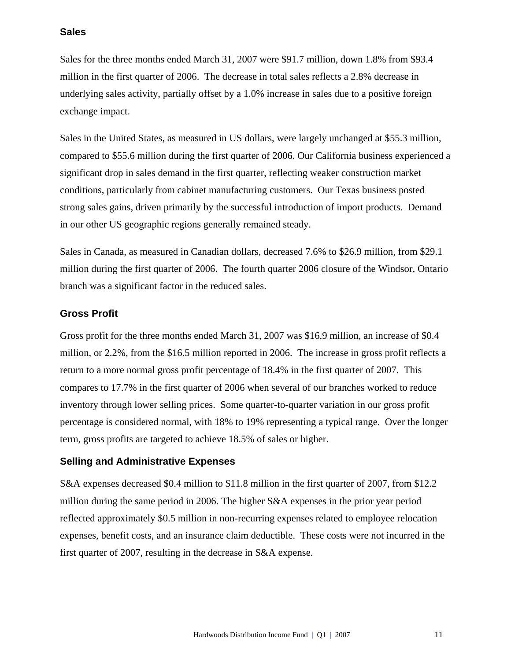### **Sales**

Sales for the three months ended March 31, 2007 were \$91.7 million, down 1.8% from \$93.4 million in the first quarter of 2006. The decrease in total sales reflects a 2.8% decrease in underlying sales activity, partially offset by a 1.0% increase in sales due to a positive foreign exchange impact.

Sales in the United States, as measured in US dollars, were largely unchanged at \$55.3 million, compared to \$55.6 million during the first quarter of 2006. Our California business experienced a significant drop in sales demand in the first quarter, reflecting weaker construction market conditions, particularly from cabinet manufacturing customers. Our Texas business posted strong sales gains, driven primarily by the successful introduction of import products. Demand in our other US geographic regions generally remained steady.

Sales in Canada, as measured in Canadian dollars, decreased 7.6% to \$26.9 million, from \$29.1 million during the first quarter of 2006. The fourth quarter 2006 closure of the Windsor, Ontario branch was a significant factor in the reduced sales.

#### **Gross Profit**

Gross profit for the three months ended March 31, 2007 was \$16.9 million, an increase of \$0.4 million, or 2.2%, from the \$16.5 million reported in 2006. The increase in gross profit reflects a return to a more normal gross profit percentage of 18.4% in the first quarter of 2007. This compares to 17.7% in the first quarter of 2006 when several of our branches worked to reduce inventory through lower selling prices. Some quarter-to-quarter variation in our gross profit percentage is considered normal, with 18% to 19% representing a typical range. Over the longer term, gross profits are targeted to achieve 18.5% of sales or higher.

### **Selling and Administrative Expenses**

S&A expenses decreased \$0.4 million to \$11.8 million in the first quarter of 2007, from \$12.2 million during the same period in 2006. The higher S&A expenses in the prior year period reflected approximately \$0.5 million in non-recurring expenses related to employee relocation expenses, benefit costs, and an insurance claim deductible. These costs were not incurred in the first quarter of 2007, resulting in the decrease in S&A expense.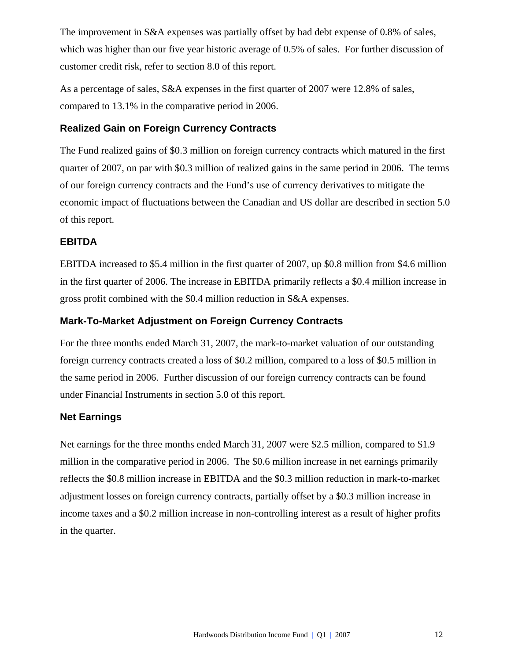The improvement in S&A expenses was partially offset by bad debt expense of 0.8% of sales, which was higher than our five year historic average of 0.5% of sales. For further discussion of customer credit risk, refer to section 8.0 of this report.

As a percentage of sales, S&A expenses in the first quarter of 2007 were 12.8% of sales, compared to 13.1% in the comparative period in 2006.

### **Realized Gain on Foreign Currency Contracts**

The Fund realized gains of \$0.3 million on foreign currency contracts which matured in the first quarter of 2007, on par with \$0.3 million of realized gains in the same period in 2006. The terms of our foreign currency contracts and the Fund's use of currency derivatives to mitigate the economic impact of fluctuations between the Canadian and US dollar are described in section 5.0 of this report.

### **EBITDA**

EBITDA increased to \$5.4 million in the first quarter of 2007, up \$0.8 million from \$4.6 million in the first quarter of 2006. The increase in EBITDA primarily reflects a \$0.4 million increase in gross profit combined with the \$0.4 million reduction in S&A expenses.

### **Mark-To-Market Adjustment on Foreign Currency Contracts**

For the three months ended March 31, 2007, the mark-to-market valuation of our outstanding foreign currency contracts created a loss of \$0.2 million, compared to a loss of \$0.5 million in the same period in 2006. Further discussion of our foreign currency contracts can be found under Financial Instruments in section 5.0 of this report.

### **Net Earnings**

Net earnings for the three months ended March 31, 2007 were \$2.5 million, compared to \$1.9 million in the comparative period in 2006. The \$0.6 million increase in net earnings primarily reflects the \$0.8 million increase in EBITDA and the \$0.3 million reduction in mark-to-market adjustment losses on foreign currency contracts, partially offset by a \$0.3 million increase in income taxes and a \$0.2 million increase in non-controlling interest as a result of higher profits in the quarter.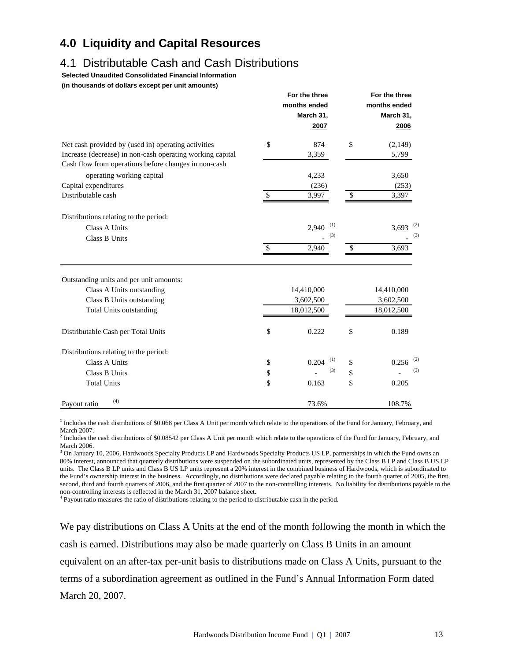## **4.0 Liquidity and Capital Resources**

## 4.1 Distributable Cash and Cash Distributions

**Selected Unaudited Consolidated Financial Information** 

**(in thousands of dollars except per unit amounts)**

|                                                           |                                                                                                                                                                     | months ended<br>March 31,<br>2007 |               | For the three<br>months ended<br>March 31,<br>2006 |
|-----------------------------------------------------------|---------------------------------------------------------------------------------------------------------------------------------------------------------------------|-----------------------------------|---------------|----------------------------------------------------|
| Net cash provided by (used in) operating activities       | \$                                                                                                                                                                  | 874                               | $\mathcal{S}$ | (2,149)                                            |
| Increase (decrease) in non-cash operating working capital |                                                                                                                                                                     | 3,359                             |               | 5,799                                              |
| Cash flow from operations before changes in non-cash      |                                                                                                                                                                     |                                   |               |                                                    |
| operating working capital                                 |                                                                                                                                                                     | 4,233                             |               | 3,650                                              |
| Capital expenditures                                      |                                                                                                                                                                     | (236)                             |               | (253)                                              |
| Distributable cash                                        | \$                                                                                                                                                                  | 3,997                             | \$            | 3,397                                              |
| Distributions relating to the period:                     |                                                                                                                                                                     |                                   |               |                                                    |
| <b>Class A Units</b>                                      |                                                                                                                                                                     | (1)<br>2,940                      |               | 3,693 <sup>(2)</sup>                               |
| Class B Units                                             |                                                                                                                                                                     | (3)                               |               | (3)                                                |
|                                                           | For the three<br>2,940<br>14,410,000<br>3,602,500<br>18,012,500<br>\$<br>$\mathsf{\$}$<br>0.222<br>(1)<br>0.204<br>\$<br>\$<br>(3)<br>\$<br>\$<br>\$<br>\$<br>0.163 | 3,693                             |               |                                                    |
| Outstanding units and per unit amounts:                   |                                                                                                                                                                     |                                   |               |                                                    |
| Class A Units outstanding                                 |                                                                                                                                                                     |                                   |               | 14,410,000                                         |
| Class B Units outstanding                                 |                                                                                                                                                                     |                                   |               | 3,602,500                                          |
| <b>Total Units outstanding</b>                            |                                                                                                                                                                     |                                   |               | 18,012,500                                         |
| Distributable Cash per Total Units                        |                                                                                                                                                                     |                                   |               | 0.189                                              |
| Distributions relating to the period:                     |                                                                                                                                                                     |                                   |               |                                                    |
| <b>Class A Units</b>                                      |                                                                                                                                                                     |                                   |               | $0.256$ <sup>(2)</sup>                             |
| Class B Units                                             |                                                                                                                                                                     |                                   |               | (3)                                                |
| <b>Total Units</b>                                        |                                                                                                                                                                     |                                   |               | 0.205                                              |
| (4)<br>Payout ratio                                       |                                                                                                                                                                     | 73.6%                             |               | 108.7%                                             |

**1** Includes the cash distributions of \$0.068 per Class A Unit per month which relate to the operations of the Fund for January, February, and March 2007.

<sup>2</sup> Includes the cash distributions of \$0.08542 per Class A Unit per month which relate to the operations of the Fund for January, February, and March 2006.

<sup>3</sup> On January 10, 2006, Hardwoods Specialty Products LP and Hardwoods Specialty Products US LP, partnerships in which the Fund owns an 80% interest, announced that quarterly distributions were suspended on the subordinated units, represented by the Class B LP and Class B US LP units. The Class B LP units and Class B US LP units represent a 20% interest in the combined business of Hardwoods, which is subordinated to the Fund's ownership interest in the business. Accordingly, no distributions were declared payable relating to the fourth quarter of 2005, the first, second, third and fourth quarters of 2006, and the first quarter of 2007 to the non-controlling interests. No liability for distributions payable to the non-controlling interests is reflected in the March 31, 2007 balance sheet. 4

Payout ratio measures the ratio of distributions relating to the period to distributable cash in the period.

We pay distributions on Class A Units at the end of the month following the month in which the cash is earned. Distributions may also be made quarterly on Class B Units in an amount equivalent on an after-tax per-unit basis to distributions made on Class A Units, pursuant to the terms of a subordination agreement as outlined in the Fund's Annual Information Form dated March 20, 2007.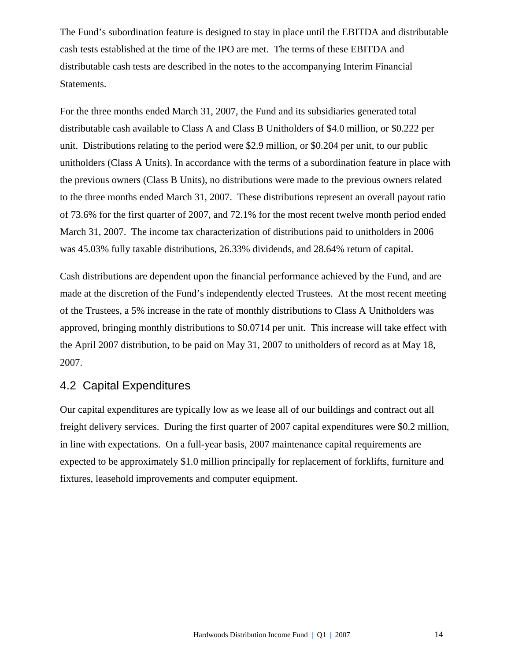The Fund's subordination feature is designed to stay in place until the EBITDA and distributable cash tests established at the time of the IPO are met. The terms of these EBITDA and distributable cash tests are described in the notes to the accompanying Interim Financial Statements.

For the three months ended March 31, 2007, the Fund and its subsidiaries generated total distributable cash available to Class A and Class B Unitholders of \$4.0 million, or \$0.222 per unit. Distributions relating to the period were \$2.9 million, or \$0.204 per unit, to our public unitholders (Class A Units). In accordance with the terms of a subordination feature in place with the previous owners (Class B Units), no distributions were made to the previous owners related to the three months ended March 31, 2007. These distributions represent an overall payout ratio of 73.6% for the first quarter of 2007, and 72.1% for the most recent twelve month period ended March 31, 2007. The income tax characterization of distributions paid to unitholders in 2006 was 45.03% fully taxable distributions, 26.33% dividends, and 28.64% return of capital.

Cash distributions are dependent upon the financial performance achieved by the Fund, and are made at the discretion of the Fund's independently elected Trustees. At the most recent meeting of the Trustees, a 5% increase in the rate of monthly distributions to Class A Unitholders was approved, bringing monthly distributions to \$0.0714 per unit. This increase will take effect with the April 2007 distribution, to be paid on May 31, 2007 to unitholders of record as at May 18, 2007.

## 4.2 Capital Expenditures

Our capital expenditures are typically low as we lease all of our buildings and contract out all freight delivery services. During the first quarter of 2007 capital expenditures were \$0.2 million, in line with expectations. On a full-year basis, 2007 maintenance capital requirements are expected to be approximately \$1.0 million principally for replacement of forklifts, furniture and fixtures, leasehold improvements and computer equipment.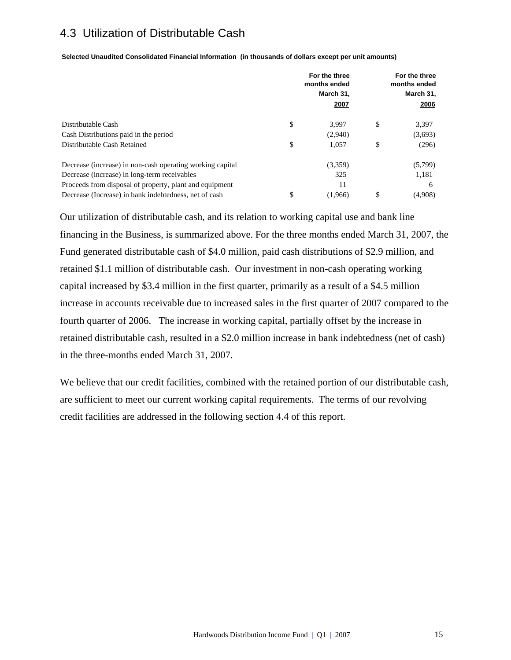## 4.3 Utilization of Distributable Cash

**Selected Unaudited Consolidated Financial Information (in thousands of dollars except per unit amounts)**

|                                                           | For the three<br>months ended<br>March 31, |    | For the three<br>months ended<br>March 31, |
|-----------------------------------------------------------|--------------------------------------------|----|--------------------------------------------|
|                                                           | 2007                                       |    | 2006                                       |
| Distributable Cash                                        | \$<br>3.997                                | \$ | 3,397                                      |
| Cash Distributions paid in the period                     | (2,940)                                    |    | (3,693)                                    |
| Distributable Cash Retained                               | \$<br>1,057                                | \$ | (296)                                      |
| Decrease (increase) in non-cash operating working capital | (3,359)                                    |    | (5,799)                                    |
| Decrease (increase) in long-term receivables              | 325                                        |    | 1,181                                      |
| Proceeds from disposal of property, plant and equipment   | 11                                         |    | 6                                          |
| Decrease (Increase) in bank indebtedness, net of cash     | \$<br>(1.966)                              | S  | (4,908)                                    |

Our utilization of distributable cash, and its relation to working capital use and bank line financing in the Business, is summarized above. For the three months ended March 31, 2007, the Fund generated distributable cash of \$4.0 million, paid cash distributions of \$2.9 million, and retained \$1.1 million of distributable cash. Our investment in non-cash operating working capital increased by \$3.4 million in the first quarter, primarily as a result of a \$4.5 million increase in accounts receivable due to increased sales in the first quarter of 2007 compared to the fourth quarter of 2006. The increase in working capital, partially offset by the increase in retained distributable cash, resulted in a \$2.0 million increase in bank indebtedness (net of cash) in the three-months ended March 31, 2007.

We believe that our credit facilities, combined with the retained portion of our distributable cash, are sufficient to meet our current working capital requirements. The terms of our revolving credit facilities are addressed in the following section 4.4 of this report.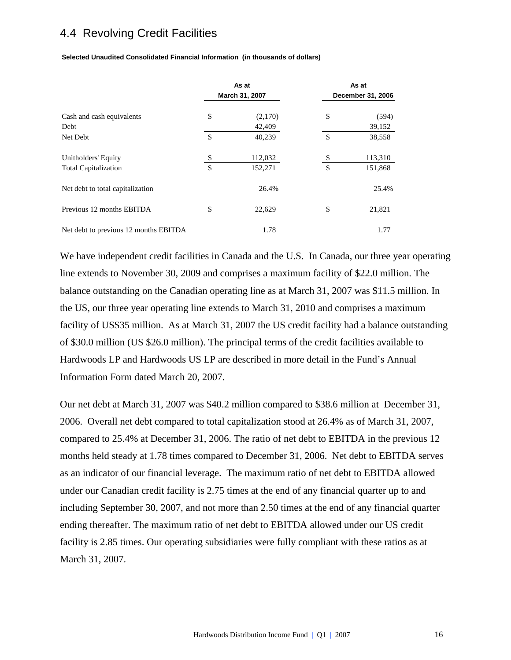## 4.4 Revolving Credit Facilities

| Selected Unaudited Consolidated Financial Information (in thousands of dollars) |  |
|---------------------------------------------------------------------------------|--|
|                                                                                 |  |

|                                                    |               | As at<br>March 31, 2007 |               | As at<br>December 31, 2006 |  |  |  |
|----------------------------------------------------|---------------|-------------------------|---------------|----------------------------|--|--|--|
| Cash and cash equivalents<br>Debt                  | \$            | (2,170)<br>42,409       | \$            | (594)<br>39,152            |  |  |  |
| Net Debt                                           | $\mathsf{\$}$ | 40,239                  | $\mathcal{S}$ | 38,558                     |  |  |  |
| Unitholders' Equity<br><b>Total Capitalization</b> | $\mathcal{S}$ | 112,032<br>152,271      | \$            | 113,310<br>151,868         |  |  |  |
| Net debt to total capitalization                   |               | 26.4%                   |               | 25.4%                      |  |  |  |
| Previous 12 months EBITDA                          | \$            | 22,629                  | \$            | 21,821                     |  |  |  |
| Net debt to previous 12 months EBITDA              |               | 1.78                    |               | 1.77                       |  |  |  |

We have independent credit facilities in Canada and the U.S. In Canada, our three year operating line extends to November 30, 2009 and comprises a maximum facility of \$22.0 million. The balance outstanding on the Canadian operating line as at March 31, 2007 was \$11.5 million. In the US, our three year operating line extends to March 31, 2010 and comprises a maximum facility of US\$35 million. As at March 31, 2007 the US credit facility had a balance outstanding of \$30.0 million (US \$26.0 million). The principal terms of the credit facilities available to Hardwoods LP and Hardwoods US LP are described in more detail in the Fund's Annual Information Form dated March 20, 2007.

Our net debt at March 31, 2007 was \$40.2 million compared to \$38.6 million at December 31, 2006. Overall net debt compared to total capitalization stood at 26.4% as of March 31, 2007, compared to 25.4% at December 31, 2006. The ratio of net debt to EBITDA in the previous 12 months held steady at 1.78 times compared to December 31, 2006. Net debt to EBITDA serves as an indicator of our financial leverage. The maximum ratio of net debt to EBITDA allowed under our Canadian credit facility is 2.75 times at the end of any financial quarter up to and including September 30, 2007, and not more than 2.50 times at the end of any financial quarter ending thereafter. The maximum ratio of net debt to EBITDA allowed under our US credit facility is 2.85 times. Our operating subsidiaries were fully compliant with these ratios as at March 31, 2007.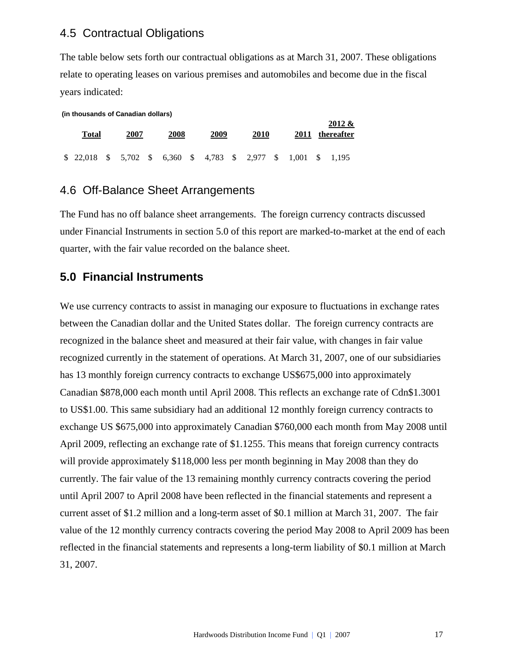### 4.5 Contractual Obligations

The table below sets forth our contractual obligations as at March 31, 2007. These obligations relate to operating leases on various premises and automobiles and become due in the fiscal years indicated:

| (in thousands of Canadian dollars) |               |          |  |       |              |                   |  |      |      |            |  |           |
|------------------------------------|---------------|----------|--|-------|--------------|-------------------|--|------|------|------------|--|-----------|
|                                    |               |          |  |       |              |                   |  |      |      |            |  | $2012 \&$ |
| 2007<br>Total                      |               |          |  |       | 2009<br>2008 |                   |  | 2010 | 2011 | thereafter |  |           |
|                                    |               |          |  |       |              |                   |  |      |      |            |  |           |
| 22.018                             | $\mathcal{S}$ | 5,702 \$ |  | 6,360 |              | $$4,783$ $$2,977$ |  |      | - \$ | 1,001      |  | 1.195     |

### 4.6 Off-Balance Sheet Arrangements

The Fund has no off balance sheet arrangements. The foreign currency contracts discussed under Financial Instruments in section 5.0 of this report are marked-to-market at the end of each quarter, with the fair value recorded on the balance sheet.

### **5.0 Financial Instruments**

We use currency contracts to assist in managing our exposure to fluctuations in exchange rates between the Canadian dollar and the United States dollar. The foreign currency contracts are recognized in the balance sheet and measured at their fair value, with changes in fair value recognized currently in the statement of operations. At March 31, 2007, one of our subsidiaries has 13 monthly foreign currency contracts to exchange US\$675,000 into approximately Canadian \$878,000 each month until April 2008. This reflects an exchange rate of Cdn\$1.3001 to US\$1.00. This same subsidiary had an additional 12 monthly foreign currency contracts to exchange US \$675,000 into approximately Canadian \$760,000 each month from May 2008 until April 2009, reflecting an exchange rate of \$1.1255. This means that foreign currency contracts will provide approximately \$118,000 less per month beginning in May 2008 than they do currently. The fair value of the 13 remaining monthly currency contracts covering the period until April 2007 to April 2008 have been reflected in the financial statements and represent a current asset of \$1.2 million and a long-term asset of \$0.1 million at March 31, 2007. The fair value of the 12 monthly currency contracts covering the period May 2008 to April 2009 has been reflected in the financial statements and represents a long-term liability of \$0.1 million at March 31, 2007.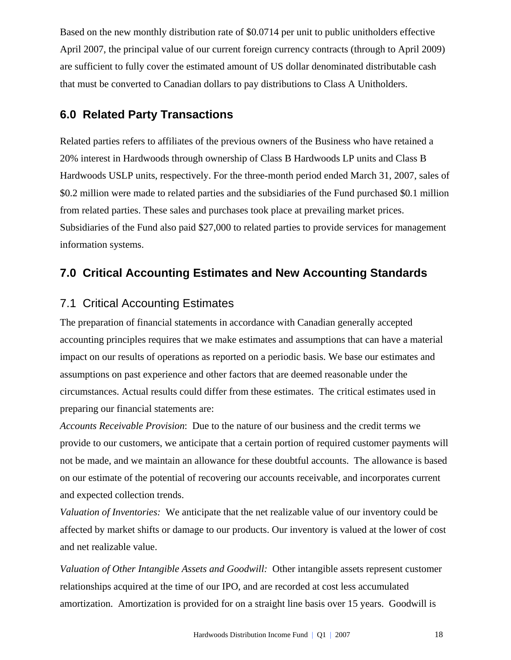Based on the new monthly distribution rate of \$0.0714 per unit to public unitholders effective April 2007, the principal value of our current foreign currency contracts (through to April 2009) are sufficient to fully cover the estimated amount of US dollar denominated distributable cash that must be converted to Canadian dollars to pay distributions to Class A Unitholders.

## **6.0 Related Party Transactions**

Related parties refers to affiliates of the previous owners of the Business who have retained a 20% interest in Hardwoods through ownership of Class B Hardwoods LP units and Class B Hardwoods USLP units, respectively. For the three-month period ended March 31, 2007, sales of \$0.2 million were made to related parties and the subsidiaries of the Fund purchased \$0.1 million from related parties. These sales and purchases took place at prevailing market prices. Subsidiaries of the Fund also paid \$27,000 to related parties to provide services for management information systems.

## **7.0 Critical Accounting Estimates and New Accounting Standards**

## 7.1 Critical Accounting Estimates

The preparation of financial statements in accordance with Canadian generally accepted accounting principles requires that we make estimates and assumptions that can have a material impact on our results of operations as reported on a periodic basis. We base our estimates and assumptions on past experience and other factors that are deemed reasonable under the circumstances. Actual results could differ from these estimates. The critical estimates used in preparing our financial statements are:

*Accounts Receivable Provision*: Due to the nature of our business and the credit terms we provide to our customers, we anticipate that a certain portion of required customer payments will not be made, and we maintain an allowance for these doubtful accounts. The allowance is based on our estimate of the potential of recovering our accounts receivable, and incorporates current and expected collection trends.

*Valuation of Inventories:* We anticipate that the net realizable value of our inventory could be affected by market shifts or damage to our products. Our inventory is valued at the lower of cost and net realizable value.

*Valuation of Other Intangible Assets and Goodwill:* Other intangible assets represent customer relationships acquired at the time of our IPO, and are recorded at cost less accumulated amortization. Amortization is provided for on a straight line basis over 15 years. Goodwill is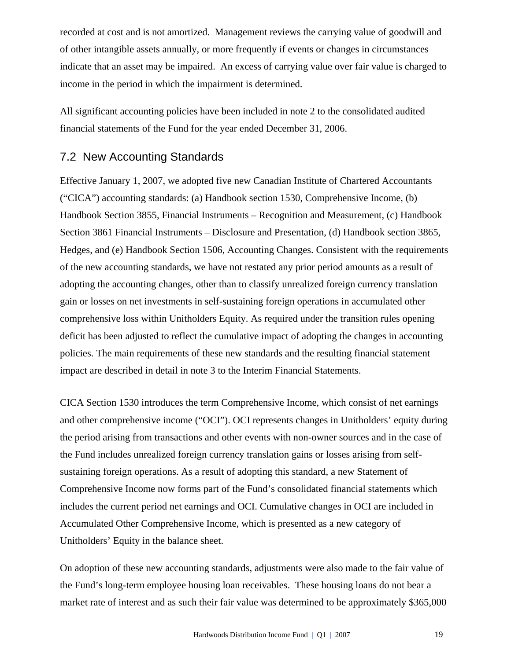recorded at cost and is not amortized. Management reviews the carrying value of goodwill and of other intangible assets annually, or more frequently if events or changes in circumstances indicate that an asset may be impaired. An excess of carrying value over fair value is charged to income in the period in which the impairment is determined.

All significant accounting policies have been included in note 2 to the consolidated audited financial statements of the Fund for the year ended December 31, 2006.

## 7.2 New Accounting Standards

Effective January 1, 2007, we adopted five new Canadian Institute of Chartered Accountants ("CICA") accounting standards: (a) Handbook section 1530, Comprehensive Income, (b) Handbook Section 3855, Financial Instruments – Recognition and Measurement, (c) Handbook Section 3861 Financial Instruments – Disclosure and Presentation, (d) Handbook section 3865, Hedges, and (e) Handbook Section 1506, Accounting Changes. Consistent with the requirements of the new accounting standards, we have not restated any prior period amounts as a result of adopting the accounting changes, other than to classify unrealized foreign currency translation gain or losses on net investments in self-sustaining foreign operations in accumulated other comprehensive loss within Unitholders Equity. As required under the transition rules opening deficit has been adjusted to reflect the cumulative impact of adopting the changes in accounting policies. The main requirements of these new standards and the resulting financial statement impact are described in detail in note 3 to the Interim Financial Statements.

CICA Section 1530 introduces the term Comprehensive Income, which consist of net earnings and other comprehensive income ("OCI"). OCI represents changes in Unitholders' equity during the period arising from transactions and other events with non-owner sources and in the case of the Fund includes unrealized foreign currency translation gains or losses arising from selfsustaining foreign operations. As a result of adopting this standard, a new Statement of Comprehensive Income now forms part of the Fund's consolidated financial statements which includes the current period net earnings and OCI. Cumulative changes in OCI are included in Accumulated Other Comprehensive Income, which is presented as a new category of Unitholders' Equity in the balance sheet.

On adoption of these new accounting standards, adjustments were also made to the fair value of the Fund's long-term employee housing loan receivables. These housing loans do not bear a market rate of interest and as such their fair value was determined to be approximately \$365,000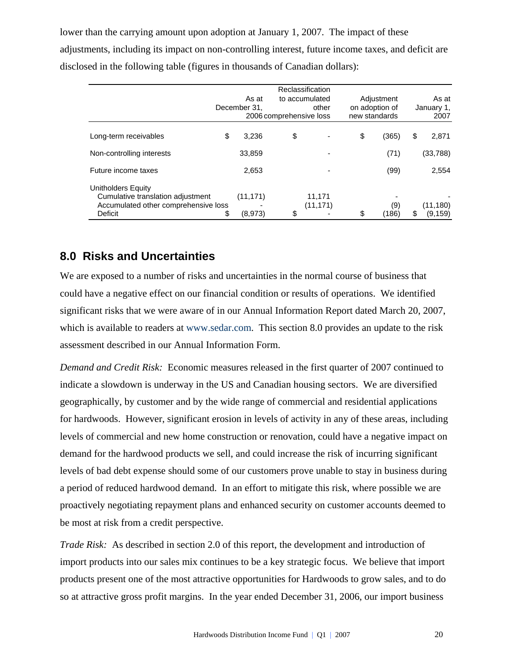lower than the carrying amount upon adoption at January 1, 2007. The impact of these adjustments, including its impact on non-controlling interest, future income taxes, and deficit are disclosed in the following table (figures in thousands of Canadian dollars):

|                                                                                                 |               |                         | Reclassification    |                |               |
|-------------------------------------------------------------------------------------------------|---------------|-------------------------|---------------------|----------------|---------------|
|                                                                                                 | As at         |                         | to accumulated      | Adjustment     | As at         |
|                                                                                                 | December 31.  |                         | other               | on adoption of | January 1,    |
|                                                                                                 |               | 2006 comprehensive loss |                     | new standards  | 2007          |
| Long-term receivables                                                                           | \$<br>3,236   | \$                      |                     | \$<br>(365)    | \$<br>2,871   |
| Non-controlling interests                                                                       | 33,859        |                         |                     | (71)           | (33,788)      |
| Future income taxes                                                                             | 2,653         |                         |                     | (99)           | 2,554         |
| Unitholders Equity<br>Cumulative translation adjustment<br>Accumulated other comprehensive loss | (11, 171)     |                         | 11,171<br>(11, 171) | (9)            | (11, 180)     |
| Deficit                                                                                         | \$<br>(8,973) | \$                      |                     | \$<br>(186)    | \$<br>(9,159) |

## **8.0 Risks and Uncertainties**

We are exposed to a number of risks and uncertainties in the normal course of business that could have a negative effect on our financial condition or results of operations. We identified significant risks that we were aware of in our Annual Information Report dated March 20, 2007, which is available to readers at www.sedar.com. This section 8.0 provides an update to the risk assessment described in our Annual Information Form.

*Demand and Credit Risk:* Economic measures released in the first quarter of 2007 continued to indicate a slowdown is underway in the US and Canadian housing sectors. We are diversified geographically, by customer and by the wide range of commercial and residential applications for hardwoods. However, significant erosion in levels of activity in any of these areas, including levels of commercial and new home construction or renovation, could have a negative impact on demand for the hardwood products we sell, and could increase the risk of incurring significant levels of bad debt expense should some of our customers prove unable to stay in business during a period of reduced hardwood demand. In an effort to mitigate this risk, where possible we are proactively negotiating repayment plans and enhanced security on customer accounts deemed to be most at risk from a credit perspective.

*Trade Risk:* As described in section 2.0 of this report, the development and introduction of import products into our sales mix continues to be a key strategic focus. We believe that import products present one of the most attractive opportunities for Hardwoods to grow sales, and to do so at attractive gross profit margins. In the year ended December 31, 2006, our import business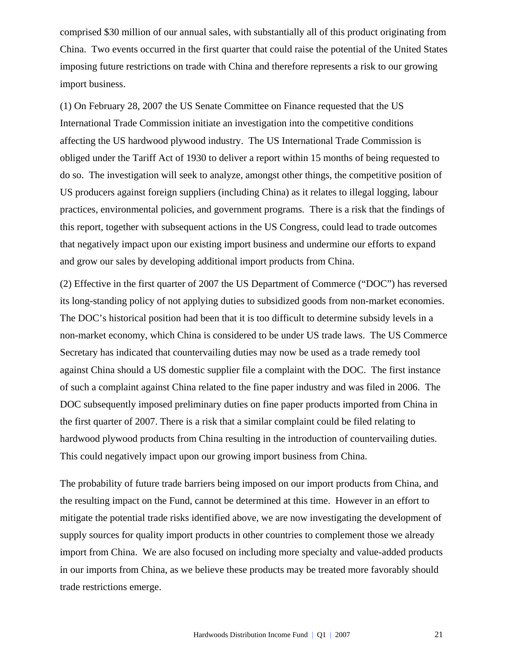comprised \$30 million of our annual sales, with substantially all of this product originating from China. Two events occurred in the first quarter that could raise the potential of the United States imposing future restrictions on trade with China and therefore represents a risk to our growing import business.

(1) On February 28, 2007 the US Senate Committee on Finance requested that the US International Trade Commission initiate an investigation into the competitive conditions affecting the US hardwood plywood industry. The US International Trade Commission is obliged under the Tariff Act of 1930 to deliver a report within 15 months of being requested to do so. The investigation will seek to analyze, amongst other things, the competitive position of US producers against foreign suppliers (including China) as it relates to illegal logging, labour practices, environmental policies, and government programs. There is a risk that the findings of this report, together with subsequent actions in the US Congress, could lead to trade outcomes that negatively impact upon our existing import business and undermine our efforts to expand and grow our sales by developing additional import products from China.

(2) Effective in the first quarter of 2007 the US Department of Commerce ("DOC") has reversed its long-standing policy of not applying duties to subsidized goods from non-market economies. The DOC's historical position had been that it is too difficult to determine subsidy levels in a non-market economy, which China is considered to be under US trade laws. The US Commerce Secretary has indicated that countervailing duties may now be used as a trade remedy tool against China should a US domestic supplier file a complaint with the DOC. The first instance of such a complaint against China related to the fine paper industry and was filed in 2006. The DOC subsequently imposed preliminary duties on fine paper products imported from China in the first quarter of 2007. There is a risk that a similar complaint could be filed relating to hardwood plywood products from China resulting in the introduction of countervailing duties. This could negatively impact upon our growing import business from China.

The probability of future trade barriers being imposed on our import products from China, and the resulting impact on the Fund, cannot be determined at this time. However in an effort to mitigate the potential trade risks identified above, we are now investigating the development of supply sources for quality import products in other countries to complement those we already import from China. We are also focused on including more specialty and value-added products in our imports from China, as we believe these products may be treated more favorably should trade restrictions emerge.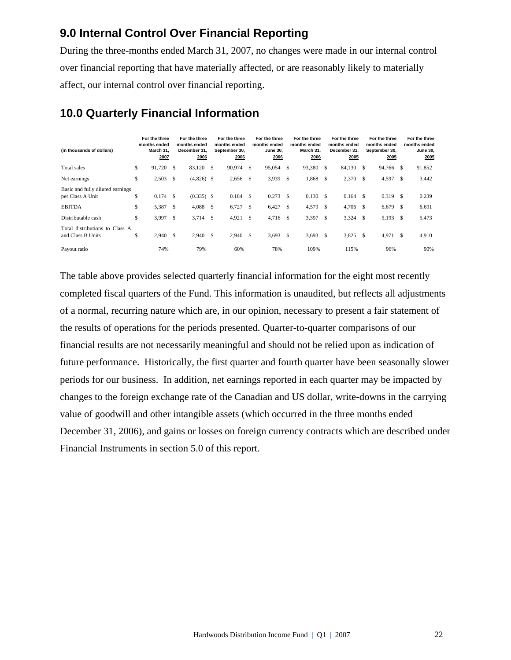## **9.0 Internal Control Over Financial Reporting**

During the three-months ended March 31, 2007, no changes were made in our internal control over financial reporting that have materially affected, or are reasonably likely to materially affect, our internal control over financial reporting.

| (in thousands of dollars)                            |     | For the three<br>months ended<br>March 31.<br>2007 |              | For the three<br>months ended<br>December 31.<br>2006 |    | For the three<br>months ended<br>September 30,<br>2006 |      | For the three<br>months ended<br><b>June 30.</b><br>2006 |    | For the three<br>months ended<br>March 31.<br>2006 |     | For the three<br>months ended<br>December 31.<br>2005 |               | For the three<br>months ended<br>September 30,<br>2005 |               | For the three<br>months ended<br><b>June 30,</b><br>2005 |
|------------------------------------------------------|-----|----------------------------------------------------|--------------|-------------------------------------------------------|----|--------------------------------------------------------|------|----------------------------------------------------------|----|----------------------------------------------------|-----|-------------------------------------------------------|---------------|--------------------------------------------------------|---------------|----------------------------------------------------------|
| Total sales                                          | \$  | 91,720 \$                                          |              | 83,120                                                | -S | 90,974 \$                                              |      | 95,054                                                   | S  | 93,380                                             | -S  | 84,130                                                | <sup>\$</sup> | 94,766 \$                                              |               | 91,852                                                   |
| Net earnings                                         | \$  | 2,503                                              | - \$         | $(4,826)$ \$                                          |    | $2,656$ \$                                             |      | 3,939                                                    | S  | 1,868                                              | S   | $2,370$ \$                                            |               | 4,597                                                  | \$            | 3,442                                                    |
| Basic and fully diluted earnings<br>per Class A Unit | \$  | $0.174$ \$                                         |              | $(0.335)$ \$                                          |    | 0.184                                                  | -S   | 0.273                                                    | -S | 0.130                                              | £.  | 0.164                                                 | £.            | 0.319                                                  | <sup>\$</sup> | 0.239                                                    |
| <b>EBITDA</b>                                        | \$  | 5,387 \$                                           |              | 4,088                                                 | \$ | $6,727$ \$                                             |      | 6,427                                                    | -S | 4,579                                              | S   | $4,706$ \$                                            |               | 6,679                                                  | -S            | 6,691                                                    |
| Distributable cash                                   | \$  | 3,997                                              | $\mathbb{S}$ | 3,714                                                 | \$ | 4,921                                                  | - \$ | 4,716                                                    | -S | 3,397                                              | \$. | 3,324                                                 | -S            | 5,193                                                  | <sup>\$</sup> | 5,473                                                    |
| Total distributions to Class A<br>and Class B Units  | \$. | 2,940                                              | - \$         | 2.940                                                 | \$ | 2,940                                                  | - \$ | 3,693                                                    | -S | 3,693                                              | \$. | 3,825                                                 | <sup>\$</sup> | 4,971                                                  | \$            | 4,910                                                    |
| Payout ratio                                         |     | 74%                                                |              | 79%                                                   |    | 60%                                                    |      | 78%                                                      |    | 109%                                               |     | 115%                                                  |               | 96%                                                    |               | 90%                                                      |

## **10.0 Quarterly Financial Information**

The table above provides selected quarterly financial information for the eight most recently completed fiscal quarters of the Fund. This information is unaudited, but reflects all adjustments of a normal, recurring nature which are, in our opinion, necessary to present a fair statement of the results of operations for the periods presented. Quarter-to-quarter comparisons of our financial results are not necessarily meaningful and should not be relied upon as indication of future performance. Historically, the first quarter and fourth quarter have been seasonally slower periods for our business. In addition, net earnings reported in each quarter may be impacted by changes to the foreign exchange rate of the Canadian and US dollar, write-downs in the carrying value of goodwill and other intangible assets (which occurred in the three months ended December 31, 2006), and gains or losses on foreign currency contracts which are described under Financial Instruments in section 5.0 of this report.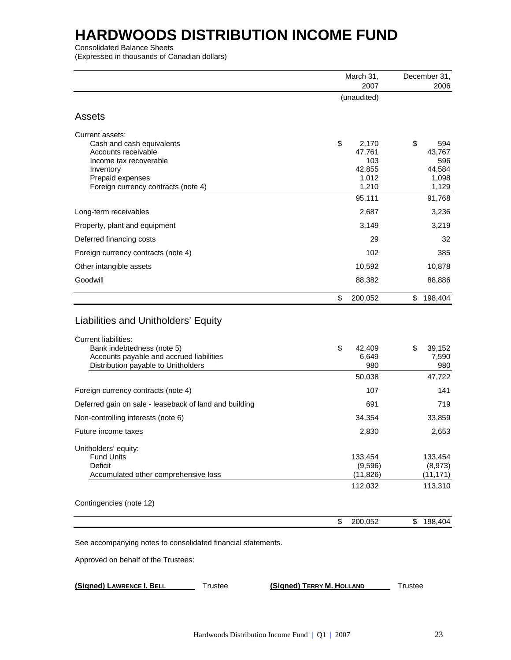Consolidated Balance Sheets

(Expressed in thousands of Canadian dollars)

|                                                                                                  | March 31,     | December 31, |               |  |
|--------------------------------------------------------------------------------------------------|---------------|--------------|---------------|--|
|                                                                                                  | 2007          |              | 2006          |  |
|                                                                                                  | (unaudited)   |              |               |  |
| Assets                                                                                           |               |              |               |  |
| Current assets:                                                                                  |               |              |               |  |
| Cash and cash equivalents                                                                        | \$<br>2,170   | \$           | 594           |  |
| Accounts receivable<br>Income tax recoverable                                                    | 47,761<br>103 |              | 43,767<br>596 |  |
| Inventory                                                                                        | 42,855        |              | 44,584        |  |
| Prepaid expenses                                                                                 | 1,012         |              | 1,098         |  |
| Foreign currency contracts (note 4)                                                              | 1,210         |              | 1,129         |  |
|                                                                                                  | 95,111        |              | 91,768        |  |
| Long-term receivables                                                                            | 2,687         |              | 3,236         |  |
| Property, plant and equipment                                                                    | 3,149         |              | 3,219         |  |
| Deferred financing costs                                                                         | 29            |              | 32            |  |
| Foreign currency contracts (note 4)                                                              | 102           |              | 385           |  |
| Other intangible assets                                                                          | 10,592        |              | 10,878        |  |
| Goodwill                                                                                         | 88,382        |              | 88,886        |  |
|                                                                                                  | \$<br>200,052 | \$           | 198,404       |  |
| Liabilities and Unitholders' Equity<br><b>Current liabilities:</b><br>Bank indebtedness (note 5) | \$<br>42,409  | \$           | 39,152        |  |
| Accounts payable and accrued liabilities<br>Distribution payable to Unitholders                  | 6,649<br>980  |              | 7,590<br>980  |  |
|                                                                                                  | 50,038        |              | 47,722        |  |
| Foreign currency contracts (note 4)                                                              | 107           |              | 141           |  |
| Deferred gain on sale - leaseback of land and building                                           | 691           |              | 719           |  |
| Non-controlling interests (note 6)                                                               | 34,354        |              | 33,859        |  |
| Future income taxes                                                                              | 2,830         |              | 2,653         |  |
| Unitholders' equity:<br><b>Fund Units</b>                                                        | 133,454       |              | 133,454       |  |
| Deficit                                                                                          | (9,596)       |              | (8,973)       |  |
| Accumulated other comprehensive loss                                                             | (11, 826)     |              | (11, 171)     |  |
|                                                                                                  | 112,032       |              | 113,310       |  |
| Contingencies (note 12)                                                                          |               |              |               |  |
|                                                                                                  | \$<br>200,052 | \$           | 198,404       |  |
| See accompanying notes to consolidated financial statements.                                     |               |              |               |  |
| Approved on behalf of the Trustees:                                                              |               |              |               |  |
|                                                                                                  |               |              |               |  |

**(Signed) LAWRENCE I. BELL** Trustee **(Signed) TERRY M. HOLLAND** Trustee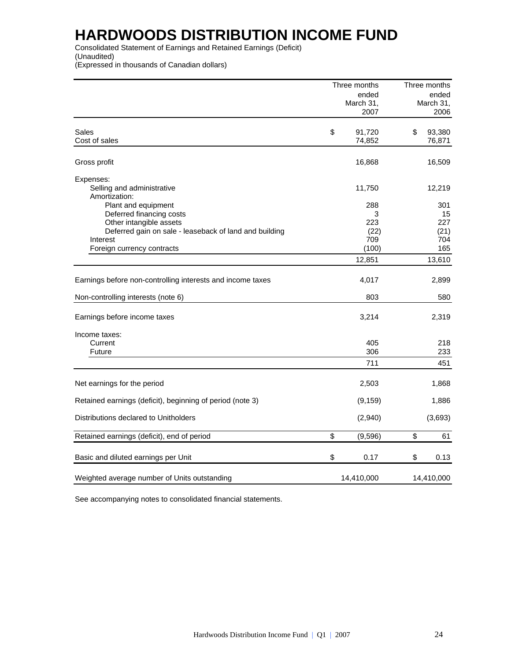Consolidated Statement of Earnings and Retained Earnings (Deficit) (Unaudited) (Expressed in thousands of Canadian dollars)

|                                                            | Three months           | Three months |                  |  |  |
|------------------------------------------------------------|------------------------|--------------|------------------|--|--|
|                                                            | ended                  |              | ended            |  |  |
|                                                            | March 31,              |              | March 31,        |  |  |
|                                                            | 2007                   |              | 2006             |  |  |
|                                                            |                        |              |                  |  |  |
| Sales<br>Cost of sales                                     | \$<br>91,720<br>74,852 | \$           | 93,380<br>76,871 |  |  |
|                                                            |                        |              |                  |  |  |
| Gross profit                                               | 16,868                 |              | 16,509           |  |  |
| Expenses:                                                  |                        |              |                  |  |  |
| Selling and administrative                                 | 11,750                 |              | 12,219           |  |  |
| Amortization:                                              |                        |              |                  |  |  |
| Plant and equipment                                        | 288                    |              | 301              |  |  |
| Deferred financing costs                                   | 3                      |              | 15               |  |  |
| Other intangible assets                                    | 223                    |              | 227              |  |  |
| Deferred gain on sale - leaseback of land and building     | (22)                   |              | (21)             |  |  |
| Interest                                                   | 709                    |              | 704              |  |  |
| Foreign currency contracts                                 | (100)                  |              | 165              |  |  |
|                                                            | 12,851                 |              | 13,610           |  |  |
|                                                            |                        |              |                  |  |  |
| Earnings before non-controlling interests and income taxes | 4,017                  |              | 2,899            |  |  |
| Non-controlling interests (note 6)                         | 803                    |              | 580              |  |  |
|                                                            |                        |              |                  |  |  |
| Earnings before income taxes                               | 3,214                  |              | 2,319            |  |  |
| Income taxes:                                              |                        |              |                  |  |  |
| Current                                                    | 405                    |              | 218              |  |  |
| Future                                                     | 306                    |              | 233              |  |  |
|                                                            | 711                    |              | 451              |  |  |
|                                                            |                        |              |                  |  |  |
| Net earnings for the period                                | 2,503                  |              | 1,868            |  |  |
| Retained earnings (deficit), beginning of period (note 3)  | (9, 159)               |              | 1,886            |  |  |
| Distributions declared to Unitholders                      | (2,940)                |              | (3,693)          |  |  |
| Retained earnings (deficit), end of period                 | \$<br>(9,596)          | \$           | 61               |  |  |
|                                                            |                        |              |                  |  |  |
| Basic and diluted earnings per Unit                        | \$<br>0.17             | \$           | 0.13             |  |  |
| Weighted average number of Units outstanding               | 14,410,000             |              | 14,410,000       |  |  |

See accompanying notes to consolidated financial statements.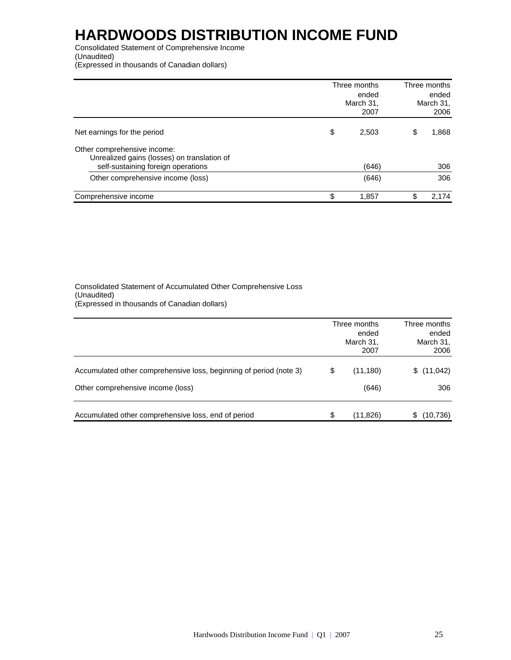Consolidated Statement of Comprehensive Income (Unaudited) (Expressed in thousands of Canadian dollars)

|                                                                                                                  | Three months<br>ended<br>March 31,<br>2007 | Three months<br>ended<br>March 31,<br>2006 |
|------------------------------------------------------------------------------------------------------------------|--------------------------------------------|--------------------------------------------|
| Net earnings for the period                                                                                      | \$<br>2,503                                | \$<br>1,868                                |
| Other comprehensive income:<br>Unrealized gains (losses) on translation of<br>self-sustaining foreign operations | (646)                                      | 306                                        |
| Other comprehensive income (loss)                                                                                | (646)                                      | 306                                        |
| Comprehensive income                                                                                             | \$<br>1,857                                | \$<br>2,174                                |

#### Consolidated Statement of Accumulated Other Comprehensive Loss (Unaudited) (Expressed in thousands of Canadian dollars)

|                                                                    | Three months<br>ended<br>March 31,<br>2007 | Three months<br>ended<br>March 31,<br>2006 |
|--------------------------------------------------------------------|--------------------------------------------|--------------------------------------------|
| Accumulated other comprehensive loss, beginning of period (note 3) | \$<br>(11, 180)                            | (11, 042)<br>S.                            |
| Other comprehensive income (loss)                                  | (646)                                      | 306                                        |
| Accumulated other comprehensive loss, end of period                | \$<br>(11,826)                             | (10, 736)<br>S                             |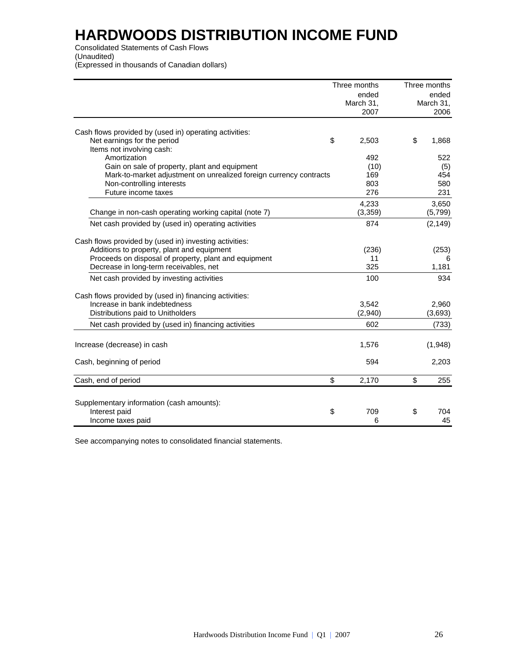Consolidated Statements of Cash Flows (Unaudited) (Expressed in thousands of Canadian dollars)

|                                                                    | Three months | Three months |           |
|--------------------------------------------------------------------|--------------|--------------|-----------|
|                                                                    | ended        |              | ended     |
|                                                                    | March 31,    |              | March 31, |
|                                                                    | 2007         |              | 2006      |
|                                                                    |              |              |           |
| Cash flows provided by (used in) operating activities:             |              |              |           |
| \$<br>Net earnings for the period                                  | 2,503        | \$           | 1,868     |
| Items not involving cash:                                          |              |              |           |
| Amortization                                                       | 492          |              | 522       |
| Gain on sale of property, plant and equipment                      | (10)         |              | (5)       |
| Mark-to-market adjustment on unrealized foreign currency contracts | 169          |              | 454       |
| Non-controlling interests                                          | 803          |              | 580       |
| Future income taxes                                                | 276          |              | 231       |
|                                                                    | 4,233        |              | 3,650     |
| Change in non-cash operating working capital (note 7)              | (3, 359)     |              | (5,799)   |
| Net cash provided by (used in) operating activities                | 874          |              | (2, 149)  |
| Cash flows provided by (used in) investing activities:             |              |              |           |
| Additions to property, plant and equipment                         | (236)        |              | (253)     |
| Proceeds on disposal of property, plant and equipment              | 11           |              | 6         |
| Decrease in long-term receivables, net                             | 325          |              | 1,181     |
| Net cash provided by investing activities                          | 100          |              | 934       |
| Cash flows provided by (used in) financing activities:             |              |              |           |
| Increase in bank indebtedness                                      | 3,542        |              | 2,960     |
| Distributions paid to Unitholders                                  | (2,940)      |              | (3,693)   |
| Net cash provided by (used in) financing activities                | 602          |              | (733)     |
| Increase (decrease) in cash                                        | 1,576        |              | (1,948)   |
| Cash, beginning of period                                          | 594          |              | 2,203     |
| \$<br>Cash, end of period                                          | 2,170        | \$           | 255       |
|                                                                    |              |              |           |
| Supplementary information (cash amounts):                          |              |              |           |
| \$<br>Interest paid                                                | 709          | \$           | 704       |
| Income taxes paid                                                  | 6            |              | 45        |

See accompanying notes to consolidated financial statements.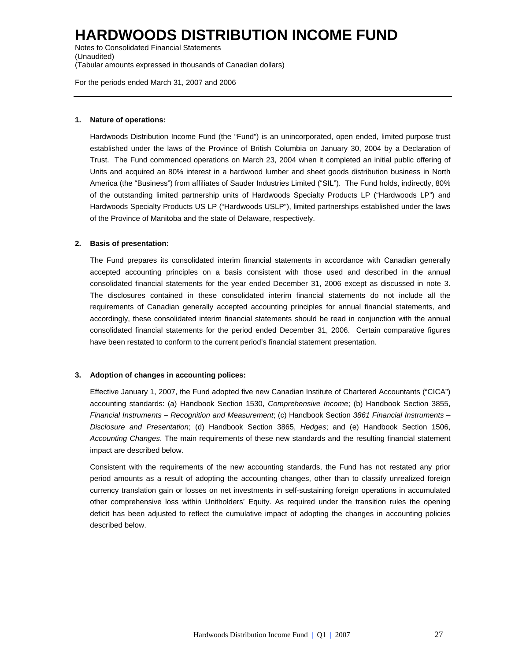Notes to Consolidated Financial Statements (Unaudited) (Tabular amounts expressed in thousands of Canadian dollars)

For the periods ended March 31, 2007 and 2006

#### **1. Nature of operations:**

Hardwoods Distribution Income Fund (the "Fund") is an unincorporated, open ended, limited purpose trust established under the laws of the Province of British Columbia on January 30, 2004 by a Declaration of Trust. The Fund commenced operations on March 23, 2004 when it completed an initial public offering of Units and acquired an 80% interest in a hardwood lumber and sheet goods distribution business in North America (the "Business") from affiliates of Sauder Industries Limited ("SIL"). The Fund holds, indirectly, 80% of the outstanding limited partnership units of Hardwoods Specialty Products LP ("Hardwoods LP") and Hardwoods Specialty Products US LP ("Hardwoods USLP"), limited partnerships established under the laws of the Province of Manitoba and the state of Delaware, respectively.

#### **2. Basis of presentation:**

The Fund prepares its consolidated interim financial statements in accordance with Canadian generally accepted accounting principles on a basis consistent with those used and described in the annual consolidated financial statements for the year ended December 31, 2006 except as discussed in note 3. The disclosures contained in these consolidated interim financial statements do not include all the requirements of Canadian generally accepted accounting principles for annual financial statements, and accordingly, these consolidated interim financial statements should be read in conjunction with the annual consolidated financial statements for the period ended December 31, 2006. Certain comparative figures have been restated to conform to the current period's financial statement presentation.

#### **3. Adoption of changes in accounting polices:**

Effective January 1, 2007, the Fund adopted five new Canadian Institute of Chartered Accountants ("CICA") accounting standards: (a) Handbook Section 1530, *Comprehensive Income*; (b) Handbook Section 3855, *Financial Instruments – Recognition and Measurement*; (c) Handbook Section *3861 Financial Instruments – Disclosure and Presentation*; (d) Handbook Section 3865, *Hedges*; and (e) Handbook Section 1506, *Accounting Changes*. The main requirements of these new standards and the resulting financial statement impact are described below.

Consistent with the requirements of the new accounting standards, the Fund has not restated any prior period amounts as a result of adopting the accounting changes, other than to classify unrealized foreign currency translation gain or losses on net investments in self-sustaining foreign operations in accumulated other comprehensive loss within Unitholders' Equity. As required under the transition rules the opening deficit has been adjusted to reflect the cumulative impact of adopting the changes in accounting policies described below.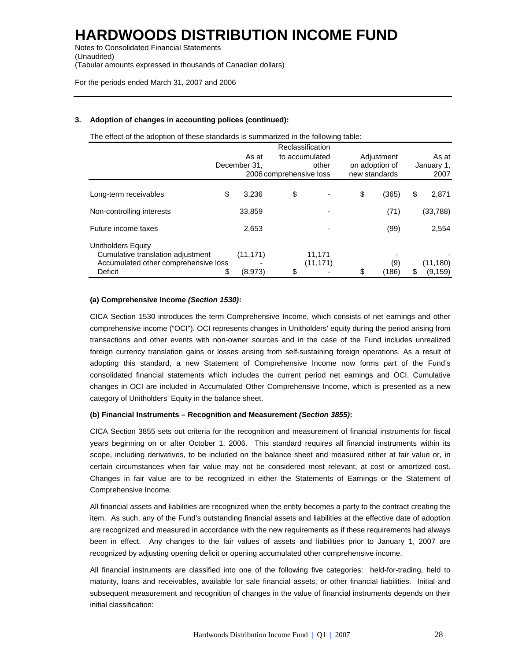Notes to Consolidated Financial Statements (Unaudited) (Tabular amounts expressed in thousands of Canadian dollars)

For the periods ended March 31, 2007 and 2006

#### **3. Adoption of changes in accounting polices (continued):**

The effect of the adoption of these standards is summarized in the following table:

|                                                                                                            | As at<br>December 31.      | 2006 comprehensive loss | Reclassification<br>to accumulated<br>other | Adjustment<br>on adoption of<br>new standards |    | As at<br>January 1,<br>2007 |
|------------------------------------------------------------------------------------------------------------|----------------------------|-------------------------|---------------------------------------------|-----------------------------------------------|----|-----------------------------|
| Long-term receivables                                                                                      | \$<br>3,236                | \$                      |                                             | \$<br>(365)                                   | \$ | 2,871                       |
| Non-controlling interests                                                                                  | 33,859                     |                         |                                             | (71)                                          |    | (33, 788)                   |
| Future income taxes                                                                                        | 2,653                      |                         |                                             | (99)                                          |    | 2,554                       |
| Unitholders Equity<br>Cumulative translation adjustment<br>Accumulated other comprehensive loss<br>Deficit | \$<br>(11, 171)<br>(8,973) | \$                      | 11,171<br>(11, 171)                         | \$<br>(9)<br>(186)                            | S  | (11, 180)<br>(9,159)        |

#### **(a) Comprehensive Income** *(Section 1530)***:**

CICA Section 1530 introduces the term Comprehensive Income, which consists of net earnings and other comprehensive income ("OCI"). OCI represents changes in Unitholders' equity during the period arising from transactions and other events with non-owner sources and in the case of the Fund includes unrealized foreign currency translation gains or losses arising from self-sustaining foreign operations. As a result of adopting this standard, a new Statement of Comprehensive Income now forms part of the Fund's consolidated financial statements which includes the current period net earnings and OCI. Cumulative changes in OCI are included in Accumulated Other Comprehensive Income, which is presented as a new category of Unitholders' Equity in the balance sheet.

#### **(b) Financial Instruments – Recognition and Measurement** *(Section 3855)***:**

CICA Section 3855 sets out criteria for the recognition and measurement of financial instruments for fiscal years beginning on or after October 1, 2006. This standard requires all financial instruments within its scope, including derivatives, to be included on the balance sheet and measured either at fair value or, in certain circumstances when fair value may not be considered most relevant, at cost or amortized cost. Changes in fair value are to be recognized in either the Statements of Earnings or the Statement of Comprehensive Income.

All financial assets and liabilities are recognized when the entity becomes a party to the contract creating the item. As such, any of the Fund's outstanding financial assets and liabilities at the effective date of adoption are recognized and measured in accordance with the new requirements as if these requirements had always been in effect. Any changes to the fair values of assets and liabilities prior to January 1, 2007 are recognized by adjusting opening deficit or opening accumulated other comprehensive income.

All financial instruments are classified into one of the following five categories: held-for-trading, held to maturity, loans and receivables, available for sale financial assets, or other financial liabilities. Initial and subsequent measurement and recognition of changes in the value of financial instruments depends on their initial classification: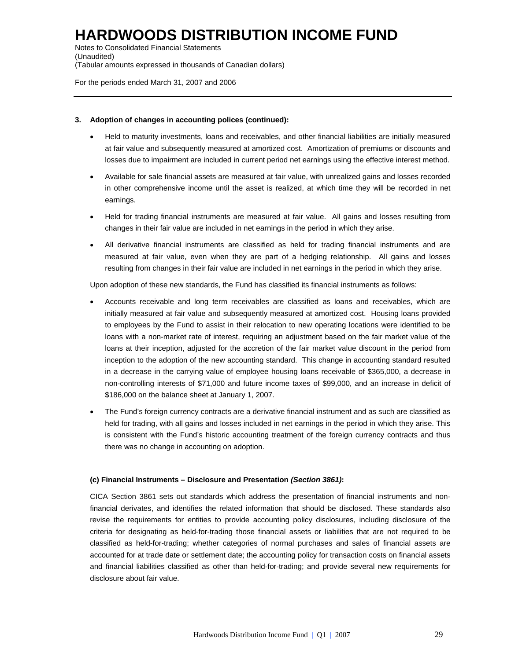Notes to Consolidated Financial Statements (Unaudited) (Tabular amounts expressed in thousands of Canadian dollars)

For the periods ended March 31, 2007 and 2006

#### **3. Adoption of changes in accounting polices (continued):**

- Held to maturity investments, loans and receivables, and other financial liabilities are initially measured at fair value and subsequently measured at amortized cost. Amortization of premiums or discounts and losses due to impairment are included in current period net earnings using the effective interest method.
- Available for sale financial assets are measured at fair value, with unrealized gains and losses recorded in other comprehensive income until the asset is realized, at which time they will be recorded in net earnings.
- Held for trading financial instruments are measured at fair value. All gains and losses resulting from changes in their fair value are included in net earnings in the period in which they arise.
- All derivative financial instruments are classified as held for trading financial instruments and are measured at fair value, even when they are part of a hedging relationship. All gains and losses resulting from changes in their fair value are included in net earnings in the period in which they arise.

Upon adoption of these new standards, the Fund has classified its financial instruments as follows:

- Accounts receivable and long term receivables are classified as loans and receivables, which are initially measured at fair value and subsequently measured at amortized cost. Housing loans provided to employees by the Fund to assist in their relocation to new operating locations were identified to be loans with a non-market rate of interest, requiring an adjustment based on the fair market value of the loans at their inception, adjusted for the accretion of the fair market value discount in the period from inception to the adoption of the new accounting standard. This change in accounting standard resulted in a decrease in the carrying value of employee housing loans receivable of \$365,000, a decrease in non-controlling interests of \$71,000 and future income taxes of \$99,000, and an increase in deficit of \$186,000 on the balance sheet at January 1, 2007.
- The Fund's foreign currency contracts are a derivative financial instrument and as such are classified as held for trading, with all gains and losses included in net earnings in the period in which they arise. This is consistent with the Fund's historic accounting treatment of the foreign currency contracts and thus there was no change in accounting on adoption.

#### **(c) Financial Instruments – Disclosure and Presentation** *(Section 3861)***:**

CICA Section 3861 sets out standards which address the presentation of financial instruments and nonfinancial derivates, and identifies the related information that should be disclosed. These standards also revise the requirements for entities to provide accounting policy disclosures, including disclosure of the criteria for designating as held-for-trading those financial assets or liabilities that are not required to be classified as held-for-trading; whether categories of normal purchases and sales of financial assets are accounted for at trade date or settlement date; the accounting policy for transaction costs on financial assets and financial liabilities classified as other than held-for-trading; and provide several new requirements for disclosure about fair value.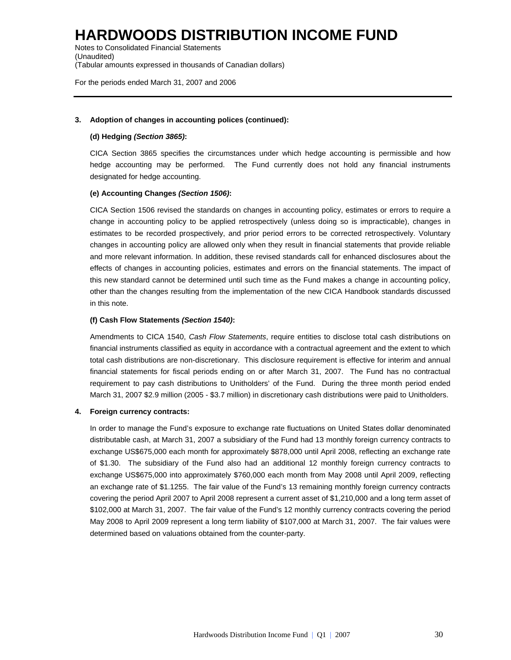Notes to Consolidated Financial Statements (Unaudited) (Tabular amounts expressed in thousands of Canadian dollars)

For the periods ended March 31, 2007 and 2006

#### **3. Adoption of changes in accounting polices (continued):**

#### **(d) Hedging** *(Section 3865)***:**

CICA Section 3865 specifies the circumstances under which hedge accounting is permissible and how hedge accounting may be performed. The Fund currently does not hold any financial instruments designated for hedge accounting.

#### **(e) Accounting Changes** *(Section 1506)***:**

CICA Section 1506 revised the standards on changes in accounting policy, estimates or errors to require a change in accounting policy to be applied retrospectively (unless doing so is impracticable), changes in estimates to be recorded prospectively, and prior period errors to be corrected retrospectively. Voluntary changes in accounting policy are allowed only when they result in financial statements that provide reliable and more relevant information. In addition, these revised standards call for enhanced disclosures about the effects of changes in accounting policies, estimates and errors on the financial statements. The impact of this new standard cannot be determined until such time as the Fund makes a change in accounting policy, other than the changes resulting from the implementation of the new CICA Handbook standards discussed in this note.

#### **(f) Cash Flow Statements** *(Section 1540)***:**

Amendments to CICA 1540, *Cash Flow Statements*, require entities to disclose total cash distributions on financial instruments classified as equity in accordance with a contractual agreement and the extent to which total cash distributions are non-discretionary. This disclosure requirement is effective for interim and annual financial statements for fiscal periods ending on or after March 31, 2007. The Fund has no contractual requirement to pay cash distributions to Unitholders' of the Fund. During the three month period ended March 31, 2007 \$2.9 million (2005 - \$3.7 million) in discretionary cash distributions were paid to Unitholders.

#### **4. Foreign currency contracts:**

In order to manage the Fund's exposure to exchange rate fluctuations on United States dollar denominated distributable cash, at March 31, 2007 a subsidiary of the Fund had 13 monthly foreign currency contracts to exchange US\$675,000 each month for approximately \$878,000 until April 2008, reflecting an exchange rate of \$1.30. The subsidiary of the Fund also had an additional 12 monthly foreign currency contracts to exchange US\$675,000 into approximately \$760,000 each month from May 2008 until April 2009, reflecting an exchange rate of \$1.1255. The fair value of the Fund's 13 remaining monthly foreign currency contracts covering the period April 2007 to April 2008 represent a current asset of \$1,210,000 and a long term asset of \$102,000 at March 31, 2007. The fair value of the Fund's 12 monthly currency contracts covering the period May 2008 to April 2009 represent a long term liability of \$107,000 at March 31, 2007. The fair values were determined based on valuations obtained from the counter-party.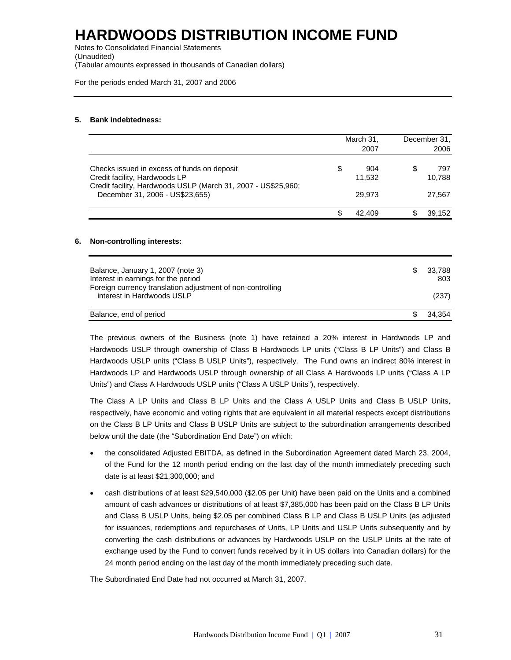Notes to Consolidated Financial Statements (Unaudited) (Tabular amounts expressed in thousands of Canadian dollars)

For the periods ended March 31, 2007 and 2006

#### **5. Bank indebtedness:**

|                                                                                                                                               | March 31,           |    | December 31,  |
|-----------------------------------------------------------------------------------------------------------------------------------------------|---------------------|----|---------------|
|                                                                                                                                               | 2007                |    | 2006          |
| Checks issued in excess of funds on deposit<br>Credit facility, Hardwoods LP<br>Credit facility, Hardwoods USLP (March 31, 2007 - US\$25,960; | \$<br>904<br>11,532 | S  | 797<br>10,788 |
| December 31, 2006 - US\$23,655)                                                                                                               | 29,973              |    | 27,567        |
|                                                                                                                                               | \$<br>42,409        | \$ | 39,152        |
| <b>Non-controlling interests:</b>                                                                                                             |                     |    |               |
| Balance, January 1, 2007 (note 3)                                                                                                             |                     | \$ | 33,788        |
| Interest in earnings for the period<br>Foreign currency translation adjustment of non-controlling                                             |                     |    | 803           |
| interest in Hardwoods USLP                                                                                                                    |                     |    | (237)         |
| Balance, end of period                                                                                                                        |                     | \$ | 34,354        |

The previous owners of the Business (note 1) have retained a 20% interest in Hardwoods LP and Hardwoods USLP through ownership of Class B Hardwoods LP units ("Class B LP Units") and Class B Hardwoods USLP units ("Class B USLP Units"), respectively. The Fund owns an indirect 80% interest in Hardwoods LP and Hardwoods USLP through ownership of all Class A Hardwoods LP units ("Class A LP Units") and Class A Hardwoods USLP units ("Class A USLP Units"), respectively.

The Class A LP Units and Class B LP Units and the Class A USLP Units and Class B USLP Units, respectively, have economic and voting rights that are equivalent in all material respects except distributions on the Class B LP Units and Class B USLP Units are subject to the subordination arrangements described below until the date (the "Subordination End Date") on which:

- the consolidated Adjusted EBITDA, as defined in the Subordination Agreement dated March 23, 2004, of the Fund for the 12 month period ending on the last day of the month immediately preceding such date is at least \$21,300,000; and
- cash distributions of at least \$29,540,000 (\$2.05 per Unit) have been paid on the Units and a combined amount of cash advances or distributions of at least \$7,385,000 has been paid on the Class B LP Units and Class B USLP Units, being \$2.05 per combined Class B LP and Class B USLP Units (as adjusted for issuances, redemptions and repurchases of Units, LP Units and USLP Units subsequently and by converting the cash distributions or advances by Hardwoods USLP on the USLP Units at the rate of exchange used by the Fund to convert funds received by it in US dollars into Canadian dollars) for the 24 month period ending on the last day of the month immediately preceding such date.

The Subordinated End Date had not occurred at March 31, 2007.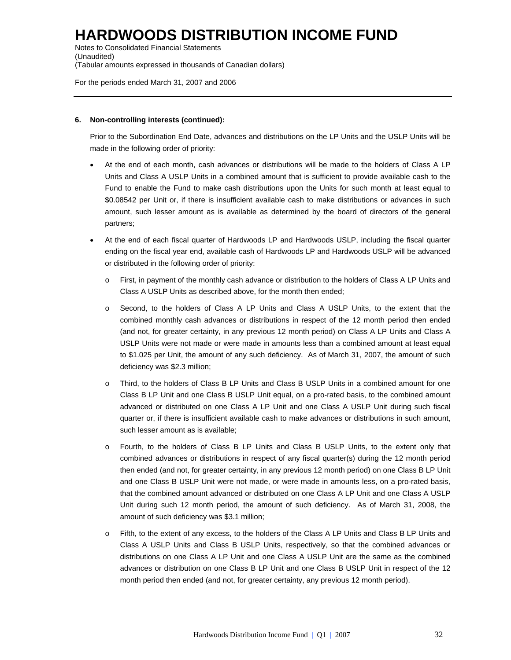Notes to Consolidated Financial Statements (Unaudited) (Tabular amounts expressed in thousands of Canadian dollars)

For the periods ended March 31, 2007 and 2006

#### **6. Non-controlling interests (continued):**

Prior to the Subordination End Date, advances and distributions on the LP Units and the USLP Units will be made in the following order of priority:

- At the end of each month, cash advances or distributions will be made to the holders of Class A LP Units and Class A USLP Units in a combined amount that is sufficient to provide available cash to the Fund to enable the Fund to make cash distributions upon the Units for such month at least equal to \$0.08542 per Unit or, if there is insufficient available cash to make distributions or advances in such amount, such lesser amount as is available as determined by the board of directors of the general partners;
- At the end of each fiscal quarter of Hardwoods LP and Hardwoods USLP, including the fiscal quarter ending on the fiscal year end, available cash of Hardwoods LP and Hardwoods USLP will be advanced or distributed in the following order of priority:
	- o First, in payment of the monthly cash advance or distribution to the holders of Class A LP Units and Class A USLP Units as described above, for the month then ended;
	- o Second, to the holders of Class A LP Units and Class A USLP Units, to the extent that the combined monthly cash advances or distributions in respect of the 12 month period then ended (and not, for greater certainty, in any previous 12 month period) on Class A LP Units and Class A USLP Units were not made or were made in amounts less than a combined amount at least equal to \$1.025 per Unit, the amount of any such deficiency. As of March 31, 2007, the amount of such deficiency was \$2.3 million;
	- o Third, to the holders of Class B LP Units and Class B USLP Units in a combined amount for one Class B LP Unit and one Class B USLP Unit equal, on a pro-rated basis, to the combined amount advanced or distributed on one Class A LP Unit and one Class A USLP Unit during such fiscal quarter or, if there is insufficient available cash to make advances or distributions in such amount, such lesser amount as is available;
	- o Fourth, to the holders of Class B LP Units and Class B USLP Units, to the extent only that combined advances or distributions in respect of any fiscal quarter(s) during the 12 month period then ended (and not, for greater certainty, in any previous 12 month period) on one Class B LP Unit and one Class B USLP Unit were not made, or were made in amounts less, on a pro-rated basis, that the combined amount advanced or distributed on one Class A LP Unit and one Class A USLP Unit during such 12 month period, the amount of such deficiency. As of March 31, 2008, the amount of such deficiency was \$3.1 million;
	- o Fifth, to the extent of any excess, to the holders of the Class A LP Units and Class B LP Units and Class A USLP Units and Class B USLP Units, respectively, so that the combined advances or distributions on one Class A LP Unit and one Class A USLP Unit are the same as the combined advances or distribution on one Class B LP Unit and one Class B USLP Unit in respect of the 12 month period then ended (and not, for greater certainty, any previous 12 month period).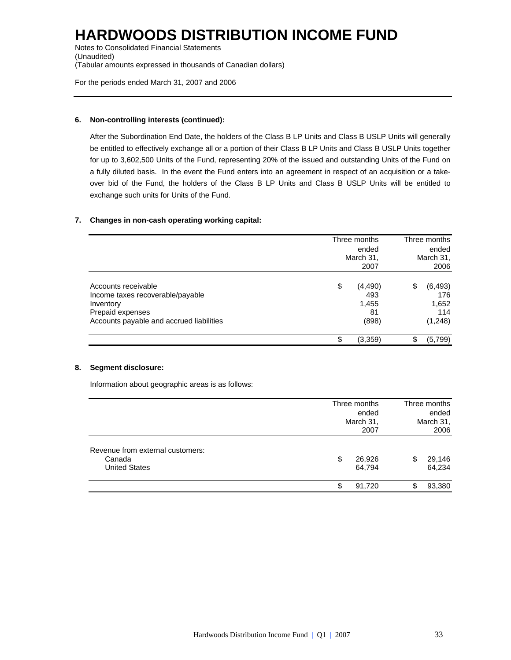Notes to Consolidated Financial Statements (Unaudited) (Tabular amounts expressed in thousands of Canadian dollars)

For the periods ended March 31, 2007 and 2006

#### **6. Non-controlling interests (continued):**

After the Subordination End Date, the holders of the Class B LP Units and Class B USLP Units will generally be entitled to effectively exchange all or a portion of their Class B LP Units and Class B USLP Units together for up to 3,602,500 Units of the Fund, representing 20% of the issued and outstanding Units of the Fund on a fully diluted basis. In the event the Fund enters into an agreement in respect of an acquisition or a takeover bid of the Fund, the holders of the Class B LP Units and Class B USLP Units will be entitled to exchange such units for Units of the Fund.

#### **7. Changes in non-cash operating working capital:**

|                                                                                                                                      | Three months<br>March 31, | Three months<br>ended<br>March 31,<br>2006 |    |                                            |
|--------------------------------------------------------------------------------------------------------------------------------------|---------------------------|--------------------------------------------|----|--------------------------------------------|
| Accounts receivable<br>Income taxes recoverable/payable<br>Inventory<br>Prepaid expenses<br>Accounts payable and accrued liabilities | \$                        | (4, 490)<br>493<br>1,455<br>81<br>(898)    | \$ | (6, 493)<br>176<br>1,652<br>114<br>(1,248) |
|                                                                                                                                      | \$                        | (3,359)                                    | \$ | (5,799)                                    |

#### **8. Segment disclosure:**

Information about geographic areas is as follows:

|                                                                    | Three months<br>ended<br>March 31,<br>2007 | Three months<br>ended<br>March 31,<br>2006 |
|--------------------------------------------------------------------|--------------------------------------------|--------------------------------------------|
| Revenue from external customers:<br>Canada<br><b>United States</b> | \$<br>26,926<br>64,794                     | 29,146<br>S<br>64,234                      |
|                                                                    | 91,720<br>\$                               | 93,380<br>\$                               |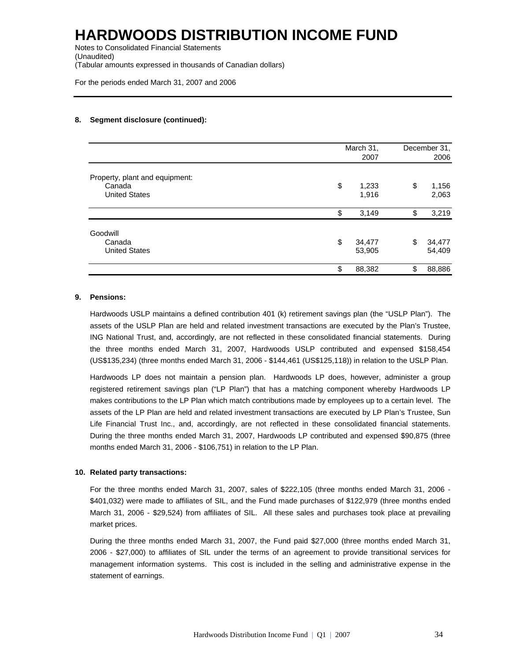Notes to Consolidated Financial Statements (Unaudited) (Tabular amounts expressed in thousands of Canadian dollars)

For the periods ended March 31, 2007 and 2006

#### **8. Segment disclosure (continued):**

|                                | March 31,<br>2007      |    | December 31,<br>2006 |  |
|--------------------------------|------------------------|----|----------------------|--|
| Property, plant and equipment: |                        |    |                      |  |
| Canada<br><b>United States</b> | \$<br>1,233<br>1,916   | \$ | 1,156<br>2,063       |  |
|                                | \$<br>3,149            | \$ | 3,219                |  |
| Goodwill                       |                        |    |                      |  |
| Canada<br><b>United States</b> | \$<br>34,477<br>53,905 | \$ | 34,477<br>54,409     |  |
|                                | \$<br>88,382           | \$ | 88,886               |  |

#### **9. Pensions:**

Hardwoods USLP maintains a defined contribution 401 (k) retirement savings plan (the "USLP Plan"). The assets of the USLP Plan are held and related investment transactions are executed by the Plan's Trustee, ING National Trust, and, accordingly, are not reflected in these consolidated financial statements. During the three months ended March 31, 2007, Hardwoods USLP contributed and expensed \$158,454 (US\$135,234) (three months ended March 31, 2006 - \$144,461 (US\$125,118)) in relation to the USLP Plan.

Hardwoods LP does not maintain a pension plan. Hardwoods LP does, however, administer a group registered retirement savings plan ("LP Plan") that has a matching component whereby Hardwoods LP makes contributions to the LP Plan which match contributions made by employees up to a certain level. The assets of the LP Plan are held and related investment transactions are executed by LP Plan's Trustee, Sun Life Financial Trust Inc., and, accordingly, are not reflected in these consolidated financial statements. During the three months ended March 31, 2007, Hardwoods LP contributed and expensed \$90,875 (three months ended March 31, 2006 - \$106,751) in relation to the LP Plan.

#### **10. Related party transactions:**

For the three months ended March 31, 2007, sales of \$222,105 (three months ended March 31, 2006 - \$401,032) were made to affiliates of SIL, and the Fund made purchases of \$122,979 (three months ended March 31, 2006 - \$29,524) from affiliates of SIL. All these sales and purchases took place at prevailing market prices.

During the three months ended March 31, 2007, the Fund paid \$27,000 (three months ended March 31, 2006 - \$27,000) to affiliates of SIL under the terms of an agreement to provide transitional services for management information systems. This cost is included in the selling and administrative expense in the statement of earnings.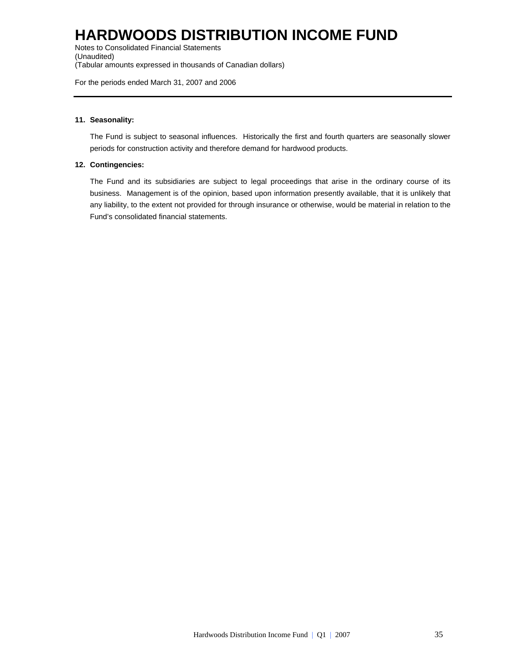Notes to Consolidated Financial Statements (Unaudited) (Tabular amounts expressed in thousands of Canadian dollars)

For the periods ended March 31, 2007 and 2006

#### **11. Seasonality:**

The Fund is subject to seasonal influences. Historically the first and fourth quarters are seasonally slower periods for construction activity and therefore demand for hardwood products.

#### **12. Contingencies:**

The Fund and its subsidiaries are subject to legal proceedings that arise in the ordinary course of its business. Management is of the opinion, based upon information presently available, that it is unlikely that any liability, to the extent not provided for through insurance or otherwise, would be material in relation to the Fund's consolidated financial statements.